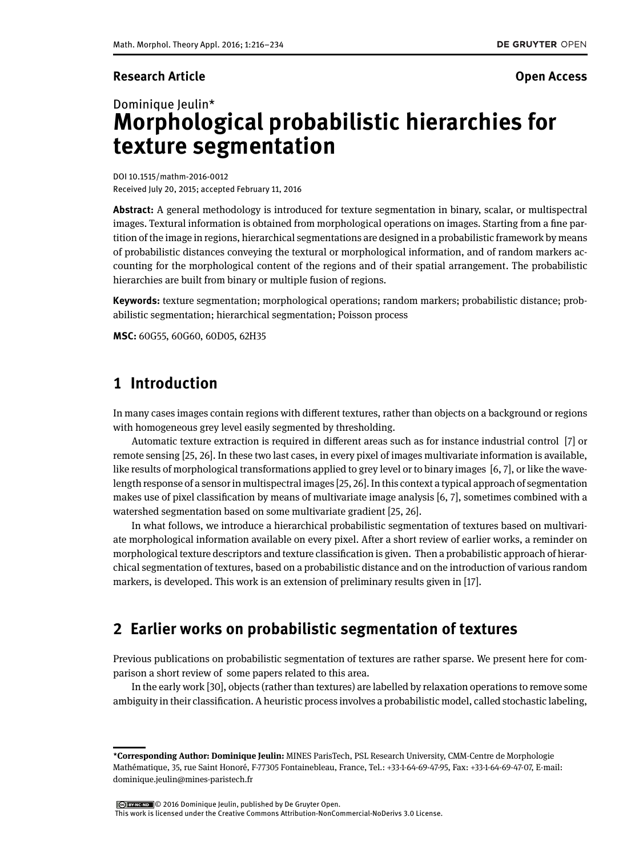## **Research Article Open Access**

# Dominique leulin\* **Morphological probabilistic hierarchies for texture segmentation**

DOI 10.1515/mathm-2016-0012 Received July 20, 2015; accepted February 11, 2016

**Abstract:** A general methodology is introduced for texture segmentation in binary, scalar, or multispectral images. Textural information is obtained from morphological operations on images. Starting from a fine partition of the image in regions, hierarchical segmentations are designed in a probabilistic framework by means of probabilistic distances conveying the textural or morphological information, and of random markers accounting for the morphological content of the regions and of their spatial arrangement. The probabilistic hierarchies are built from binary or multiple fusion of regions.

**Keywords:** texture segmentation; morphological operations; random markers; probabilistic distance; probabilistic segmentation; hierarchical segmentation; Poisson process

**MSC:** 60G55, 60G60, 60D05, 62H35

# **1 Introduction**

In many cases images contain regions with different textures, rather than objects on a background or regions with homogeneous grey level easily segmented by thresholding.

Automatic texture extraction is required in different areas such as for instance industrial control  $[7]$  or remote sensing [\[25,](#page-18-1) [26\]](#page-18-2). In these two last cases, in every pixel of images multivariate information is available, like results of morphological transformations applied to grey level or to binary images [\[6,](#page-17-1) [7\]](#page-17-0), or like the wavelength response of a sensor in multispectral images [\[25,](#page-18-1) [26\]](#page-18-2). In this context a typical approach of segmentation makes use of pixel classification by means of multivariate image analysis  $[6, 7]$  $[6, 7]$ , sometimes combined with a watershed segmentation based on some multivariate gradient [\[25,](#page-18-1) [26\]](#page-18-2).

In what follows, we introduce a hierarchical probabilistic segmentation of textures based on multivariate morphological information available on every pixel. After a short review of earlier works, a reminder on morphological texture descriptors and texture classification is given. Then a probabilistic approach of hierarchical segmentation of textures, based on a probabilistic distance and on the introduction of various random markers, is developed. This work is an extension of preliminary results given in [\[17\]](#page-17-2).

# **2 Earlier works on probabilistic segmentation of textures**

Previous publications on probabilistic segmentation of textures are rather sparse. We present here for comparison a short review of some papers related to this area.

In the early work [\[30\]](#page-18-3), objects (rather than textures) are labelled by relaxation operations to remove some ambiguity in their classification. A heuristic process involves a probabilistic model, called stochastic labeling,

© 2016 Dominique Jeulin, published by De Gruyter Open.

This work is licensed under the Creative Commons Attribution-NonCommercial-NoDerivs 3.0 License.

**<sup>\*</sup>Corresponding Author: Dominique Jeulin:** MINES ParisTech, PSL Research University, CMM-Centre de Morphologie Mathématique, 35, rue Saint Honoré, F-77305 Fontainebleau, France, Tel.: +33-1-64-69-47-95, Fax: +33-1-64-69-47-07, E-mail: dominique.jeulin@mines-paristech.fr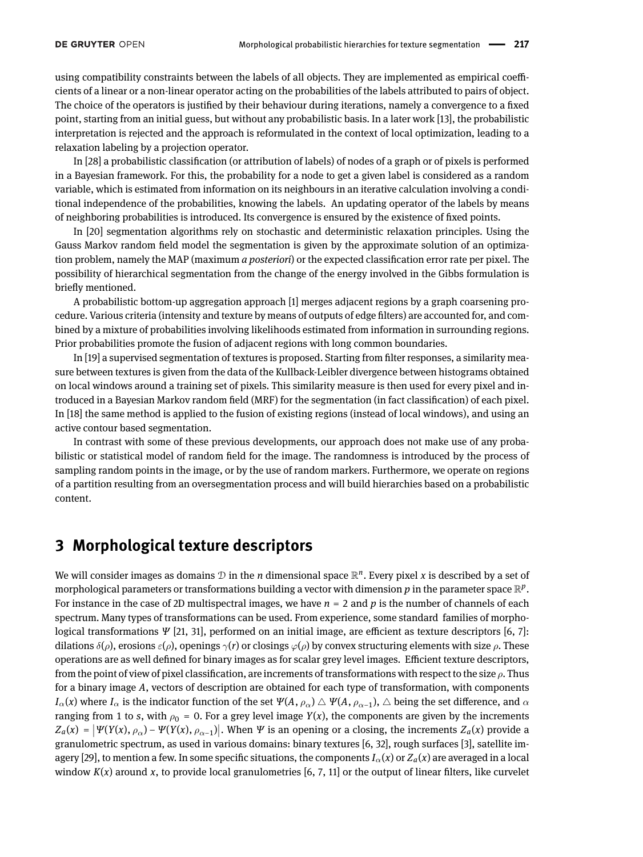using compatibility constraints between the labels of all objects. They are implemented as empirical coefficients of a linear or a non-linear operator acting on the probabilities of the labels attributed to pairs of object. The choice of the operators is justified by their behaviour during iterations, namely a convergence to a fixed point, starting from an initial guess, but without any probabilistic basis. In a later work [\[13\]](#page-17-3), the probabilistic interpretation is rejected and the approach is reformulated in the context of local optimization, leading to a relaxation labeling by a projection operator.

In [\[28\]](#page-18-4) a probabilistic classification (or attribution of labels) of nodes of a graph or of pixels is performed in a Bayesian framework. For this, the probability for a node to get a given label is considered as a random variable, which is estimated from information on its neighbours in an iterative calculation involving a conditional independence of the probabilities, knowing the labels. An updating operator of the labels by means of neighboring probabilities is introduced. Its convergence is ensured by the existence of fixed points.

In [\[20\]](#page-17-4) segmentation algorithms rely on stochastic and deterministic relaxation principles. Using the Gauss Markov random field model the segmentation is given by the approximate solution of an optimization problem, namely the MAP (maximum *a posteriori*) or the expected classication error rate per pixel. The possibility of hierarchical segmentation from the change of the energy involved in the Gibbs formulation is briefly mentioned.

A probabilistic bottom-up aggregation approach [\[1\]](#page-17-5) merges adjacent regions by a graph coarsening procedure. Various criteria (intensity and texture by means of outputs of edge filters) are accounted for, and combined by a mixture of probabilities involving likelihoods estimated from information in surrounding regions. Prior probabilities promote the fusion of adjacent regions with long common boundaries.

In [\[19\]](#page-17-6) a supervised segmentation of textures is proposed. Starting from filter responses, a similarity measure between textures is given from the data of the Kullback-Leibler divergence between histograms obtained on local windows around a training set of pixels. This similarity measure is then used for every pixel and introduced in a Bayesian Markov random field (MRF) for the segmentation (in fact classification) of each pixel. In [\[18\]](#page-17-7) the same method is applied to the fusion of existing regions (instead of local windows), and using an active contour based segmentation.

In contrast with some of these previous developments, our approach does not make use of any probabilistic or statistical model of random field for the image. The randomness is introduced by the process of sampling random points in the image, or by the use of random markers. Furthermore, we operate on regions of a partition resulting from an oversegmentation process and will build hierarchies based on a probabilistic content.

## <span id="page-1-0"></span>**3 Morphological texture descriptors**

We will consider images as domains  $D$  in the *n* dimensional space  $\mathbb{R}^n$ . Every pixel *x* is described by a set of morphological parameters or transformations building a vector with dimension  $p$  in the parameter space  $\mathbb{R}^p$ . For instance in the case of 2D multispectral images, we have *n* = 2 and *p* is the number of channels of each spectrum. Many types of transformations can be used. From experience, some standard families of morphological transformations *Ψ* [\[21,](#page-17-8) [31\]](#page-18-5), performed on an initial image, are efficient as texture descriptors [\[6,](#page-17-1) [7\]](#page-17-0): dilations  $\delta(\rho)$ , erosions  $\varepsilon(\rho)$ , openings  $\gamma(r)$  or closings  $\varphi(\rho)$  by convex structuring elements with size  $\rho$ . These operations are as well defined for binary images as for scalar grey level images. Efficient texture descriptors, from the point of view of pixel classification, are increments of transformations with respect to the size  $\rho$ . Thus for a binary image *A*, vectors of description are obtained for each type of transformation, with components  $I_\alpha(x)$  where  $I_\alpha$  is the indicator function of the set  $\Psi(A,\rho_\alpha)\bigtriangleup\Psi(A,\rho_{\alpha-1}),$   $\bigtriangleup$  being the set difference, and  $\alpha$ ranging from 1 to *s*, with  $\rho_0 = 0$ . For a grey level image *Y*(*x*), the components are given by the increments  $Z_a(x) = |\Psi(Y(x), \rho_\alpha) - \Psi(Y(x), \rho_{\alpha-1})|$ . When *Ψ* is an opening or a closing, the increments *Z<sub>a</sub>*(*x*) provide a granulometric spectrum, as used in various domains: binary textures [\[6,](#page-17-1) [32\]](#page-18-6), rough surfaces [\[3\]](#page-17-9), satellite im-agery [\[29\]](#page-18-7), to mention a few. In some specific situations, the components  $I_\alpha(x)$  or  $Z_\alpha(x)$  are averaged in a local window  $K(x)$  around x, to provide local granulometries [\[6,](#page-17-1) [7,](#page-17-0) [11\]](#page-17-10) or the output of linear filters, like curvelet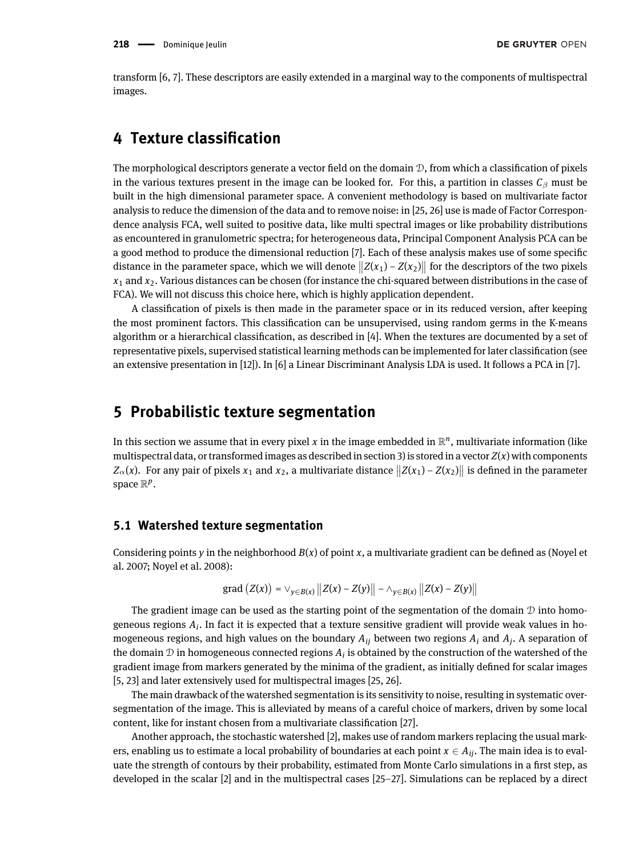transform [\[6,](#page-17-1) [7\]](#page-17-0). These descriptors are easily extended in a marginal way to the components of multispectral images.

## **4 Texture classication**

The morphological descriptors generate a vector field on the domain  $\mathcal{D}$ , from which a classification of pixels in the various textures present in the image can be looked for. For this, a partition in classes  $C_\beta$  must be built in the high dimensional parameter space. A convenient methodology is based on multivariate factor analysis to reduce the dimension of the data and to remove noise: in [\[25,](#page-18-1) [26\]](#page-18-2) use is made of Factor Correspondence analysis FCA, well suited to positive data, like multi spectral images or like probability distributions as encountered in granulometric spectra; for heterogeneous data, Principal Component Analysis PCA can be a good method to produce the dimensional reduction [\[7\]](#page-17-0). Each of these analysis makes use of some specific distance in the parameter space, which we will denote  $||Z(x_1) - Z(x_2)||$  for the descriptors of the two pixels *x*<sup>1</sup> and *x*2. Various distances can be chosen (for instance the chi-squared between distributions in the case of FCA). We will not discuss this choice here, which is highly application dependent.

A classification of pixels is then made in the parameter space or in its reduced version, after keeping the most prominent factors. This classification can be unsupervised, using random germs in the K-means algorithm or a hierarchical classification, as described in  $[4]$ . When the textures are documented by a set of representative pixels, supervised statistical learning methods can be implemented for later classification (see an extensive presentation in [\[12\]](#page-17-12)). In [\[6\]](#page-17-1) a Linear Discriminant Analysis LDA is used. It follows a PCA in [\[7\]](#page-17-0).

## **5 Probabilistic texture segmentation**

In this section we assume that in every pixel  $x$  in the image embedded in  $\mathbb{R}^n$ , multivariate information (like multispectral data, or transformed images as described in section [3\)](#page-1-0) is stored in a vector  $Z(x)$  with components  $Z_α(x)$ . For any pair of pixels  $x_1$  and  $x_2$ , a multivariate distance  $||Z(x_1) - Z(x_2)||$  is defined in the parameter space  $\mathbb{R}^p$  .

### **5.1 Watershed texture segmentation**

Considering points *y* in the neighborhood  $B(x)$  of point *x*, a multivariate gradient can be defined as (Noyel et al. 2007; Noyel et al. 2008):

grad 
$$
(Z(x)) = \vee_{y \in B(x)} ||Z(x) - Z(y)|| - \wedge_{y \in B(x)} ||Z(x) - Z(y)||
$$

The gradient image can be used as the starting point of the segmentation of the domain  $\mathcal D$  into homogeneous regions *A<sup>i</sup>* . In fact it is expected that a texture sensitive gradient will provide weak values in homogeneous regions, and high values on the boundary *Aij* between two regions *A<sup>i</sup>* and *A<sup>j</sup>* . A separation of the domain  $\mathcal D$  in homogeneous connected regions  $A_i$  is obtained by the construction of the watershed of the gradient image from markers generated by the minima of the gradient, as initially dened for scalar images [\[5,](#page-17-13) [23\]](#page-18-8) and later extensively used for multispectral images [\[25,](#page-18-1) [26\]](#page-18-2).

The main drawback of the watershed segmentation is its sensitivity to noise, resulting in systematic oversegmentation of the image. This is alleviated by means of a careful choice of markers, driven by some local content, like for instant chosen from a multivariate classification [\[27\]](#page-18-9).

Another approach, the stochastic watershed [\[2\]](#page-17-14), makes use of random markers replacing the usual markers, enabling us to estimate a local probability of boundaries at each point *x* <sup>∈</sup> *Aij*. The main idea is to evaluate the strength of contours by their probability, estimated from Monte Carlo simulations in a first step, as developed in the scalar [\[2\]](#page-17-14) and in the multispectral cases [\[25](#page-18-1)[–27\]](#page-18-9). Simulations can be replaced by a direct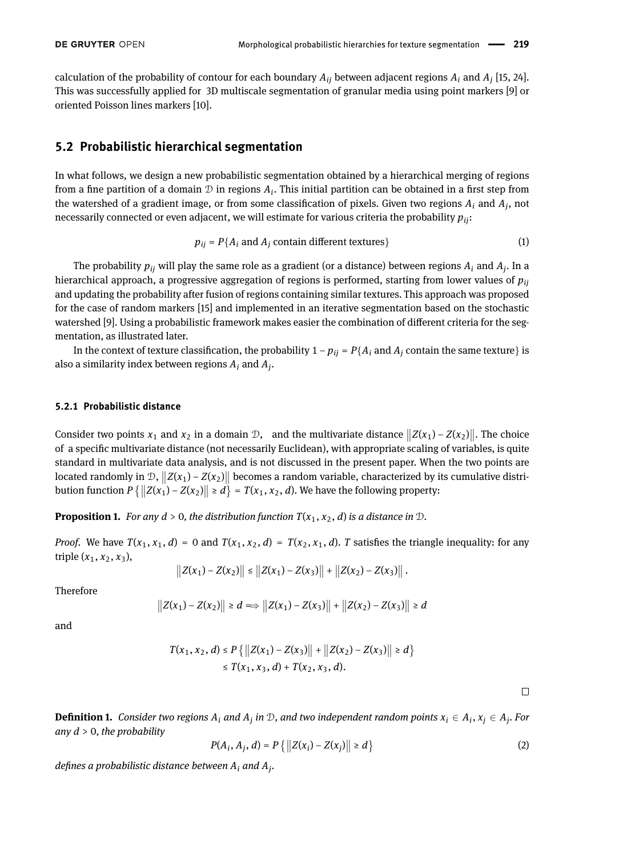calculation of the probability of contour for each boundary  $A_{ij}$  between adjacent regions  $A_i$  and  $A_j$  [\[15,](#page-17-15) [24\]](#page-18-10). This was successfully applied for 3D multiscale segmentation of granular media using point markers [\[9\]](#page-17-16) or oriented Poisson lines markers [\[10\]](#page-17-17).

## **5.2 Probabilistic hierarchical segmentation**

In what follows, we design a new probabilistic segmentation obtained by a hierarchical merging of regions from a fine partition of a domain  $D$  in regions  $A_i$ . This initial partition can be obtained in a first step from the watershed of a gradient image, or from some classification of pixels. Given two regions  $A_i$  and  $A_j$ , not necessarily connected or even adjacent, we will estimate for various criteria the probability *pij*:

<span id="page-3-0"></span>
$$
p_{ij} = P\{A_i \text{ and } A_j \text{ contain different textures}\}\
$$
 (1)

The probability  $p_{ij}$  will play the same role as a gradient (or a distance) between regions  $A_i$  and  $A_j$ . In a hierarchical approach, a progressive aggregation of regions is performed, starting from lower values of *pij* and updating the probability after fusion of regions containing similar textures. This approach was proposed for the case of random markers [\[15\]](#page-17-15) and implemented in an iterative segmentation based on the stochastic watershed [\[9\]](#page-17-16). Using a probabilistic framework makes easier the combination of different criteria for the segmentation, as illustrated later.

In the context of texture classification, the probability  $1 - p_{ij} = P\{A_i \text{ and } A_j \text{ contain the same texture}\}\$ is also a similarity index between regions  $A_i$  and  $A_j$ .

#### **5.2.1 Probabilistic distance**

Consider two points  $x_1$  and  $x_2$  in a domain D, and the multivariate distance  $||Z(x_1) - Z(x_2)||$ . The choice of a specific multivariate distance (not necessarily Euclidean), with appropriate scaling of variables, is quite standard in multivariate data analysis, and is not discussed in the present paper. When the two points are located randomly in  $\mathcal{D}$ ,  $||Z(x_1) - Z(x_2)||$  becomes a random variable, characterized by its cumulative distribution function  $P\left\{\left\|Z(x_1) - Z(x_2)\right\| \ge d\right\} = T(x_1, x_2, d)$ . We have the following property:

**Proposition 1.** *For any*  $d > 0$ *, the distribution function*  $T(x_1, x_2, d)$  *is a distance in*  $D$ *.* 

*Proof.* We have  $T(x_1, x_1, d) = 0$  and  $T(x_1, x_2, d) = T(x_2, x_1, d)$ . *T* satisfies the triangle inequality: for any triple  $(x_1, x_2, x_3)$ ,

$$
||Z(x_1)-Z(x_2)|| \leq ||Z(x_1)-Z(x_3)|| + ||Z(x_2)-Z(x_3)||.
$$

Therefore

$$
||Z(x_1) - Z(x_2)|| \geq d \Longrightarrow ||Z(x_1) - Z(x_3)|| + ||Z(x_2) - Z(x_3)|| \geq d
$$

and

$$
T(x_1, x_2, d) \le P\left\{ ||Z(x_1) - Z(x_3)|| + ||Z(x_2) - Z(x_3)|| \ge d \right\}
$$
  

$$
\le T(x_1, x_3, d) + T(x_2, x_3, d).
$$

 $\Box$ 

<span id="page-3-1"></span>**Definition 1.** Consider two regions  $A_i$  and  $A_j$  in  $D$ , and two independent random points  $x_i \in A_i$ ,  $x_j \in A_j$ . For *any d* > 0*, the probability*

<span id="page-3-2"></span>
$$
P(A_i, A_j, d) = P\{|Z(x_i) - Z(x_j)|| \ge d\}
$$
 (2)

 $d$ efines a probabilistic distance between  $A_i$  and  $A_j$ .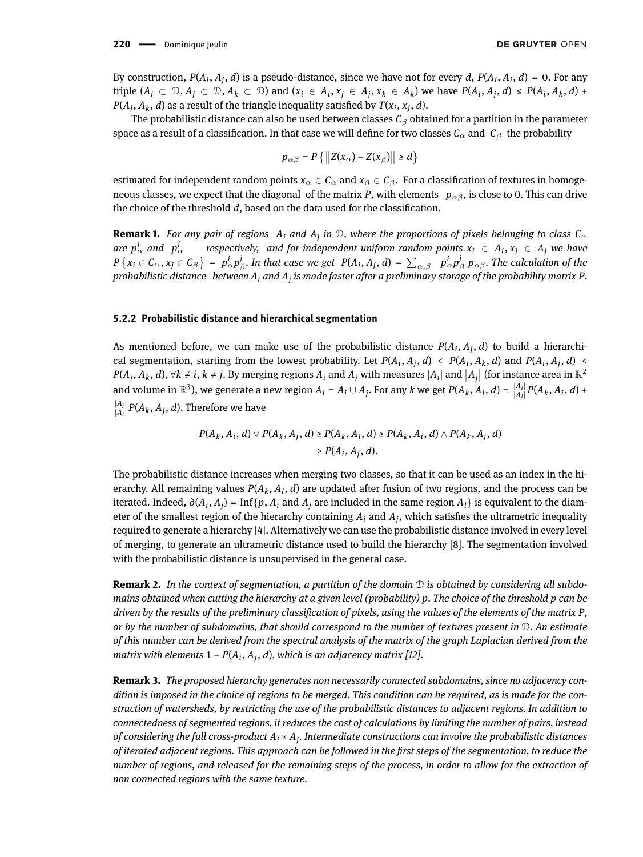By construction,  $P(A_i, A_j, d)$  is a pseudo-distance, since we have not for every  $d$ ,  $P(A_i, A_i, d) = 0$ . For any triple  $(A_i \subset \mathcal{D}, A_j \subset \mathcal{D}, A_k \subset \mathcal{D})$  and  $(x_i \in A_i, x_j \in A_j, x_k \in A_k)$  we have  $P(A_i, A_j, d) \leq P(A_i, A_k, d) +$ *P*( $A_j$ ,  $A_k$ ,  $d$ ) as a result of the triangle inequality satisfied by  $T(x_i, x_j, d)$ .

The probabilistic distance can also be used between classes *C*<sup>β</sup> obtained for a partition in the parameter space as a result of a classification. In that case we will define for two classes  $C_\alpha$  and  $C_\beta$  the probability

$$
p_{\alpha\beta}=P\left\{\left\|Z(x_{\alpha})-Z(x_{\beta})\right\|\geq d\right\}
$$

estimated for independent random points  $x_\alpha \in C_\alpha$  and  $x_\beta \in C_\beta$ . For a classification of textures in homogeneous classes, we expect that the diagonal of the matrix *P*, with elements  $p_{\alpha\beta}$ , is close to 0. This can drive the choice of the threshold *d*, based on the data used for the classification.

**Remark 1.** *For any pair of regions*  $A_i$  *and*  $A_j$  *in*  $D$ *, where the proportions of pixels belonging to class*  $C_\alpha$ are  $p^i_\alpha$  and  $p^j_\alpha$  $\alpha^j$  *respectively, and for independent uniform random points*  $x_i \in A_i$ ,  $x_j \in A_j$  we have  $P\left\{x_i\in C_\alpha, x_j\in C_\beta\right\}$  =  $p^i_\alpha p^j_\beta$ . In that case we get  $P(A_i, A_j, d)$  =  $\sum_{\alpha,\beta}$   $p^i_\alpha p^j_\beta$   $p_{\alpha\beta}$ . The calculation of the *probabilistic distance between A<sup>i</sup> and A<sup>j</sup> is made faster after a preliminary storage of the probability matrix P.*

#### **5.2.2 Probabilistic distance and hierarchical segmentation**

As mentioned before, we can make use of the probabilistic distance  $P(A_i, A_j, d)$  to build a hierarchical segmentation, starting from the lowest probability. Let  $P(A_i, A_j, d) < P(A_i, A_k, d)$  and  $P(A_i, A_j, d)$  $P(A_j, A_k, d)$ ,  $\forall k \neq i$ ,  $k \neq j$ . By merging regions  $A_i$  and  $A_j$  with measures  $|A_i|$  and  $|A_j|$  (for instance area in  $\mathbb{R}^2$ and volume in  $\mathbb{R}^3$ ), we generate a new region  $A_l = A_i \cup A_j$ . For any k we get  $P(A_k, A_l, d) = \frac{|A_i|}{|A_l|} P(A_k, A_i, d) +$ |*Aj*|  $\frac{|A_j|}{|A_l|}P(A_k, A_j, d).$  Therefore we have

> $P(A_k, A_i, d) \vee P(A_k, A_j, d) \ge P(A_k, A_l, d) \ge P(A_k, A_i, d) \wedge P(A_k, A_j, d)$  $> P(A_i, A_j, d).$

The probabilistic distance increases when merging two classes, so that it can be used as an index in the hierarchy. All remaining values  $P(A_k, A_l, d)$  are updated after fusion of two regions, and the process can be iterated. Indeed,  $\partial(A_i, A_j) = \text{Inf}{p, A_i}$  and  $A_j$  are included in the same region  $A_l$  is equivalent to the diameter of the smallest region of the hierarchy containing  $A_i$  and  $A_j$ , which satisfies the ultrametric inequality required to generate a hierarchy [\[4\]](#page-17-11). Alternatively we can use the probabilistic distance involved in every level of merging, to generate an ultrametric distance used to build the hierarchy [\[8\]](#page-17-18). The segmentation involved with the probabilistic distance is unsupervised in the general case.

**Remark 2.** *In the context of segmentation, a partition of the domain* D *is obtained by considering all subdomains obtained when cutting the hierarchy at a given level (probability) p. The choice of the threshold p can be driven by the results of the preliminary classification of pixels, using the values of the elements of the matrix P, or by the number of subdomains, that should correspond to the number of textures present in* D*. An estimate of this number can be derived from the spectral analysis of the matrix of the graph Laplacian derived from the matrix with elements* 1 − *P*(*A<sup>i</sup>* , *A<sup>j</sup>* , *d*)*, which is an adjacency matrix [\[12\]](#page-17-12).*

**Remark 3.** *The proposed hierarchy generates non necessarily connected subdomains, since no adjacency condition is imposed in the choice of regions to be merged. This condition can be required, as is made for the construction of watersheds, by restricting the use of the probabilistic distances to adjacent regions. In addition to connectedness of segmented regions, it reduces the cost of calculations by limiting the number of pairs, instead of considering the full cross-product A<sup>i</sup>* × *A<sup>j</sup> . Intermediate constructions can involve the probabilistic distances of iterated adjacent regions. This approach can be followed in the rst steps of the segmentation, to reduce the number of regions, and released for the remaining steps of the process, in order to allow for the extraction of non connected regions with the same texture.*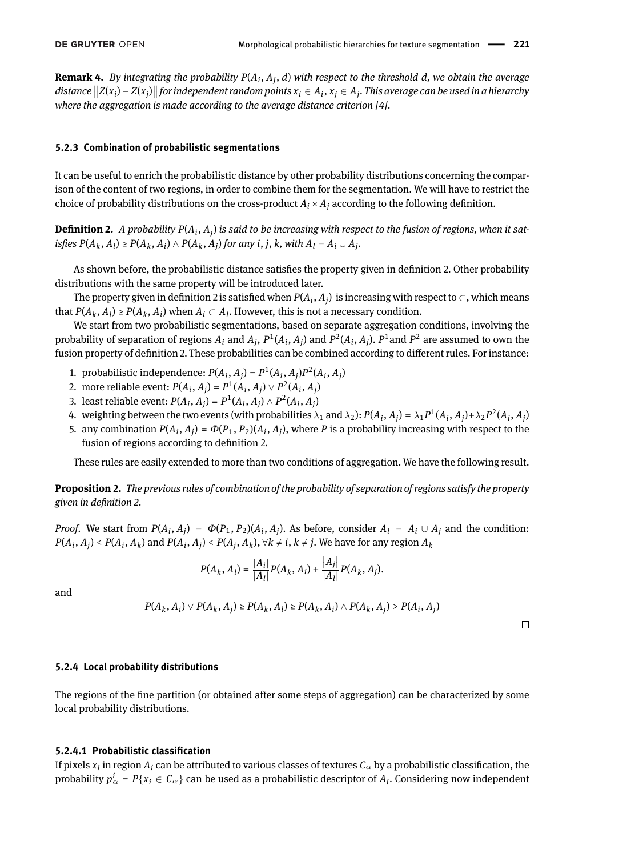**Remark 4.** *By integrating the probability P*(*A<sup>i</sup>* , *A<sup>j</sup>* , *d*) *with respect to the threshold d, we obtain the average* distance  $||Z(x_i) - Z(x_j)||$  for independent random points  $x_i \in A_i$ ,  $x_j \in A_j$ . This average can be used in a hierarchy where the aggregation is made according to the average distance criterion [\[4\]](#page-17-11)<sup>*.*</sup>

#### <span id="page-5-1"></span>**5.2.3 Combination of probabilistic segmentations**

It can be useful to enrich the probabilistic distance by other probability distributions concerning the comparison of the content of two regions, in order to combine them for the segmentation. We will have to restrict the choice of probability distributions on the cross-product  $A_i \times A_j$  according to the following definition.

<span id="page-5-0"></span>**Definition 2.** A probability  $P(A_i, A_j)$  is said to be increasing with respect to the fusion of regions, when it satisfies  $P(A_k, A_l) \ge P(A_k, A_i) \wedge P(A_k, A_j)$  for any i, j, k, with  $A_l = A_i \cup A_j$ .

As shown before, the probabilistic distance satisfies the property given in definition [2.](#page-5-0) Other probability distributions with the same property will be introduced later.

The property given in definition [2](#page-5-0) is satisfied when  $P(A_i, A_j)$  is increasing with respect to  $\subset$  , which means that  $P(A_k, A_l) \ge P(A_k, A_i)$  when  $A_i \subset A_l$ . However, this is not a necessary condition.

We start from two probabilistic segmentations, based on separate aggregation conditions, involving the probability of separation of regions  $A_i$  and  $A_j$ ,  $P^1(A_i, A_j)$  and  $P^2(A_i, A_j)$ .  $P^1$ and  $P^2$  are assumed to own the fusion property of definition [2.](#page-5-0) These probabilities can be combined according to different rules. For instance:

- 1. probabilistic independence:  $P(A_i, A_j) = P^1(A_i, A_j)P^2(A_i, A_j)$
- 2. more reliable event:  $P(A_i, A_j) = P^1(A_i, A_j) \vee P^2(A_i, A_j)$
- 3. least reliable event:  $P(A_i, A_j) = P^1(A_i, A_j) \wedge P^2(A_i, A_j)$
- 4. weighting between the two events (with probabilities  $\lambda_1$  and  $\lambda_2$ ):  $P(A_i, A_j) = \lambda_1 P^1(A_i, A_j) + \lambda_2 P^2(A_i, A_j)$
- 5. any combination  $P(A_i, A_j) = \Phi(P_1, P_2)(A_i, A_j)$ , where P is a probability increasing with respect to the fusion of regions according to definition [2.](#page-5-0)

These rules are easily extended to more than two conditions of aggregation. We have the following result.

**Proposition 2.** *The previous rules of combination of the probability of separation of regions satisfy the property given in denition [2.](#page-5-0)*

*Proof.* We start from  $P(A_i, A_j) = \Phi(P_1, P_2)(A_i, A_j)$ . As before, consider  $A_l = A_i \cup A_j$  and the condition:  $P(A_i, A_j) < P(A_i, A_k)$  and  $P(A_i, A_j) < P(A_j, A_k)$ ,  $\forall k \neq i, k \neq j$ . We have for any region  $A_k$ 

$$
P(A_k, A_l) = \frac{|A_i|}{|A_l|} P(A_k, A_i) + \frac{|A_j|}{|A_l|} P(A_k, A_j).
$$

and

$$
P(A_k, A_i) \vee P(A_k, A_j) \geq P(A_k, A_l) \geq P(A_k, A_i) \wedge P(A_k, A_j) > P(A_i, A_j)
$$

 $\Box$ 

#### **5.2.4 Local probability distributions**

The regions of the ne partition (or obtained after some steps of aggregation) can be characterized by some local probability distributions.

#### **5.2.4.1 Probabilistic classication**

If pixels  $x_i$  in region  $A_i$  can be attributed to various classes of textures  $\mathcal{C}_\alpha$  by a probabilistic classification, the probability  $p^i_\alpha$  =  $P\{x_i\in\mathcal C_\alpha\}$  can be used as a probabilistic descriptor of  $A_i.$  Considering now independent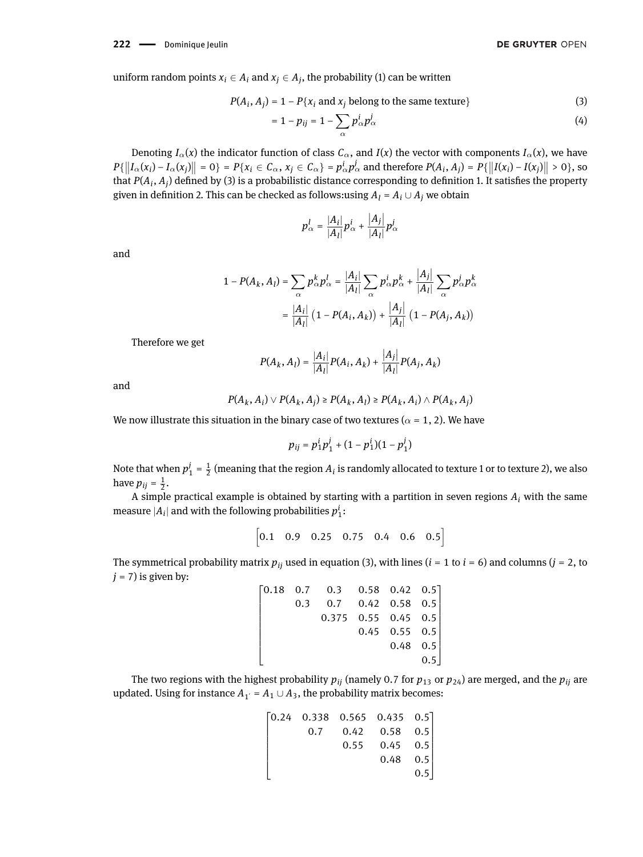uniform random points  $x_i \in A_i$  and  $x_j \in A_j$ , the probability [\(1\)](#page-3-0) can be written

$$
P(A_i, A_j) = 1 - P\{x_i \text{ and } x_j \text{ belong to the same texture}\}\tag{3}
$$

$$
=1-p_{ij}=1-\sum_{\alpha}p_{\alpha}^{i}p_{\alpha}^{j}
$$
\n
$$
\tag{4}
$$

Denoting  $I_{\alpha}(x)$  the indicator function of class  $C_{\alpha}$ , and  $I(x)$  the vector with components  $I_{\alpha}(x)$ , we have  $P\{\left\|I_{\alpha}(x_i) - I_{\alpha}(x_j)\right\| = 0\} = P\{x_i \in C_{\alpha}, x_j \in C_{\alpha}\} = p_{\alpha}^i p_{\alpha}^j$  and therefore  $P(A_i, A_j) = P\{\left\|I(x_i) - I(x_j)\right\| > 0\}$ , so that  $P(A_i, A_j)$  defined by [\(3\)](#page-6-0) is a probabilistic distance corresponding to definition [1.](#page-3-1) It satisfies the property given in definition [2.](#page-5-0) This can be checked as follows:using  $A_l = A_i \cup A_j$  we obtain

<span id="page-6-0"></span>
$$
p_{\alpha}^{l} = \frac{|A_i|}{|A_l|} p_{\alpha}^{i} + \frac{|A_j|}{|A_l|} p_{\alpha}^{j}
$$

and

$$
1 - P(A_k, A_l) = \sum_{\alpha} p_{\alpha}^k p_{\alpha}^l = \frac{|A_i|}{|A_l|} \sum_{\alpha} p_{\alpha}^i p_{\alpha}^k + \frac{|A_j|}{|A_l|} \sum_{\alpha} p_{\alpha}^j p_{\alpha}^k
$$

$$
= \frac{|A_i|}{|A_l|} \left( 1 - P(A_i, A_k) \right) + \frac{|A_j|}{|A_l|} \left( 1 - P(A_j, A_k) \right)
$$

Therefore we get

$$
P(A_k, A_l) = \frac{|A_i|}{|A_l|} P(A_i, A_k) + \frac{|A_j|}{|A_l|} P(A_j, A_k)
$$

and

$$
P(A_k, A_i) \vee P(A_k, A_j) \geq P(A_k, A_l) \geq P(A_k, A_i) \wedge P(A_k, A_j)
$$

We now illustrate this situation in the binary case of two textures ( $\alpha = 1, 2$ ). We have

$$
p_{ij} = p_1^i p_1^j + (1 - p_1^i)(1 - p_1^j)
$$

Note that when  $p_1^j=\frac{1}{2}$  (meaning that the region  $A_i$  is randomly allocated to texture 1 or to texture 2), we also have  $p_{ij} = \frac{1}{2}$ .

A simple practical example is obtained by starting with a partition in seven regions *A<sup>i</sup>* with the same measure  $|A_i|$  and with the following probabilities  $p_1^i\colon$ 

$$
\begin{bmatrix} 0.1 & 0.9 & 0.25 & 0.75 & 0.4 & 0.6 & 0.5 \end{bmatrix}
$$

The symmetrical probability matrix  $p_{ij}$  used in equation [\(3\)](#page-6-0), with lines ( $i = 1$  to  $i = 6$ ) and columns ( $j = 2$ , to  $j = 7$ ) is given by:

|  | $\begin{bmatrix} 0.18 & 0.7 & 0.3 & 0.58 & 0.42 & 0.5 \end{bmatrix}$ |                  |                  |
|--|----------------------------------------------------------------------|------------------|------------------|
|  | $0.3$ 0.7 0.42 0.58 0.5                                              |                  |                  |
|  | $0.375$ 0.55 0.45 0.5                                                |                  |                  |
|  |                                                                      | $0.45$ 0.55 0.5  |                  |
|  |                                                                      | $0.48 \quad 0.5$ |                  |
|  |                                                                      |                  | 0.5 <sub>1</sub> |

The two regions with the highest probability  $p_{ij}$  (namely 0.7 for  $p_{13}$  or  $p_{24}$ ) are merged, and the  $p_{ij}$  are updated. Using for instance  $A_{1'} = A_1 \cup A_3$ , the probability matrix becomes:

$$
\begin{bmatrix} 0.24 & 0.338 & 0.565 & 0.435 & 0.5 \\ & 0.7 & 0.42 & 0.58 & 0.5 \\ & & 0.55 & 0.45 & 0.5 \\ & & & 0.48 & 0.5 \\ & & & & 0.5 \end{bmatrix}
$$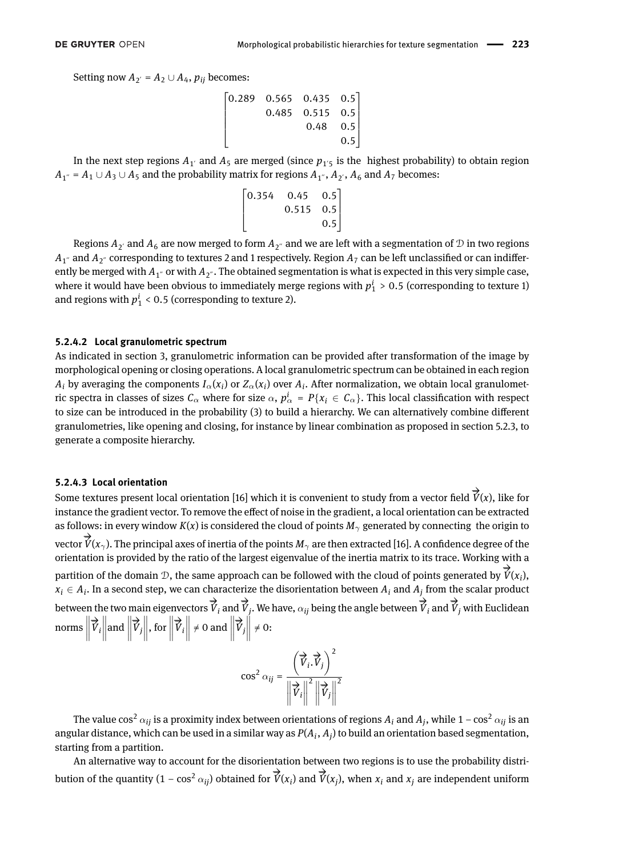Setting now  $A_{2'} = A_2 \cup A_4$ ,  $p_{ij}$  becomes:

$$
\begin{bmatrix} 0.289 & 0.565 & 0.435 & 0.5 \\ & 0.485 & 0.515 & 0.5 \\ & & 0.48 & 0.5 \\ & & & 0.8 \end{bmatrix}
$$

In the next step regions  $A_{1}$  and  $A_{5}$  are merged (since  $p_{1}$ <sup>'</sup> is the highest probability) to obtain region  $A_{1}^{\prime\prime}$  =  $A_1$  ∪  $A_3$  ∪  $A_5$  and the probability matrix for regions  $A_{1}^{\prime\prime}$ ,  $A_{2}^{\prime}$ ,  $A_6$  and  $A_7$  becomes:

$$
\begin{bmatrix} 0.354 & 0.45 & 0.5 \\ & 0.515 & 0.5 \\ & & 0.5 \end{bmatrix}
$$

Regions  $A_{2'}$  and  $A_6$  are now merged to form  $A_{2''}$  and we are left with a segmentation of  ${\cal D}$  in two regions  $A_{1^{''}}$  and  $A_{2^{''}}$  corresponding to textures 2 and 1 respectively. Region  $A_7$  can be left unclassified or can indifferently be merged with  $A_{1'}$  or with  $A_{2''}$ . The obtained segmentation is what is expected in this very simple case, where it would have been obvious to immediately merge regions with  $p_1^i > 0.5$  (corresponding to texture 1) and regions with  $p_1^i$  < 0.5 (corresponding to texture 2).

#### **5.2.4.2 Local granulometric spectrum**

As indicated in section [3,](#page-1-0) granulometric information can be provided after transformation of the image by morphological opening or closing operations. A local granulometric spectrum can be obtained in each region  $A_i$  by averaging the components  $I_\alpha(x_i)$  or  $Z_\alpha(x_i)$  over  $A_i$ . After normalization, we obtain local granulometric spectra in classes of sizes  $C_\alpha$  where for size  $\alpha$ ,  $p^i_\alpha$  =  $P\{x_i\in\mathcal{C}_\alpha\}.$  This local classification with respect to size can be introduced in the probability [\(3\)](#page-6-0) to build a hierarchy. We can alternatively combine different granulometries, like opening and closing, for instance by linear combination as proposed in section [5.2.3,](#page-5-1) to generate a composite hierarchy.

#### <span id="page-7-0"></span>**5.2.4.3 Local orientation**

*SIENAS* ECCA CHEMATION<br>Some textures present local orientation [\[16\]](#page-17-19) which it is convenient to study from a vector field  $\overrightarrow{V}(x)$ , like for instance the gradient vector. To remove the effect of noise in the gradient, a local orientation can be extracted as follows: in every window  $K(x)$  is considered the cloud of points  $M_{\gamma}$  generated by connecting the origin to  $\overrightarrow{V}(x_\gamma)$ . The principal axes of inertia of the points  $M_\gamma$  are then extracted [\[16\]](#page-17-19). A confidence degree of the orientation is provided by the ratio of the largest eigenvalue of the inertia matrix to its trace. Working with a partition of the domain  $D$ , the same approach can be followed with the cloud of points generated by  $\overrightarrow{V}(x_i)$ ,  $x_i \in A_i$ . In a second step, we can characterize the disorientation between  $A_i$  and  $A_j$  from the scalar product  $\overrightarrow{v}_i$  between the two main eigenvectors  $\overrightarrow{V}_i$  and  $\overrightarrow{V}_j$ . We have,  $\alpha_{ij}$  being the angle between  $\overrightarrow{V}_i$  and  $\overrightarrow{V}_j$  with Euclidean norms  $\parallel$ −→  $\vec{v}_i$ and  $\parallel$ −→  $\left\| \vec{v}_j \right\|$ , for  $\Vert$ −→  $\overrightarrow{V}_i$  $\neq 0$  and  $\parallel$ −→  $\left\| \vec{v}_j \right\|$ ≠0:

> $\cos^2 \alpha_{ij} =$  −→  $\overrightarrow{V}_i \cdot \overrightarrow{V}$  $\overrightarrow{V}_j$ <sup>2</sup> −→  $\overrightarrow{V}_i$  $\sqrt{2}$ −→  $\left|\vec{v}_j\right|$ 2

The value  $\cos^2\alpha_{ij}$  is a proximity index between orientations of regions  $A_i$  and  $A_j$ , while 1 –  $\cos^2\alpha_{ij}$  is an angular distance, which can be used in a similar way as  $P(A_i, A_j)$  to build an orientation based segmentation, starting from a partition.

An alternative way to account for the disorientation between two regions is to use the probability distribution of the quantity  $(1 - \cos^2 \alpha_{ij})$  obtained for  $\overrightarrow{V}(x_i)$  and  $\overrightarrow{V}(x_j)$ , when  $x_i$  and  $x_j$  are independent uniform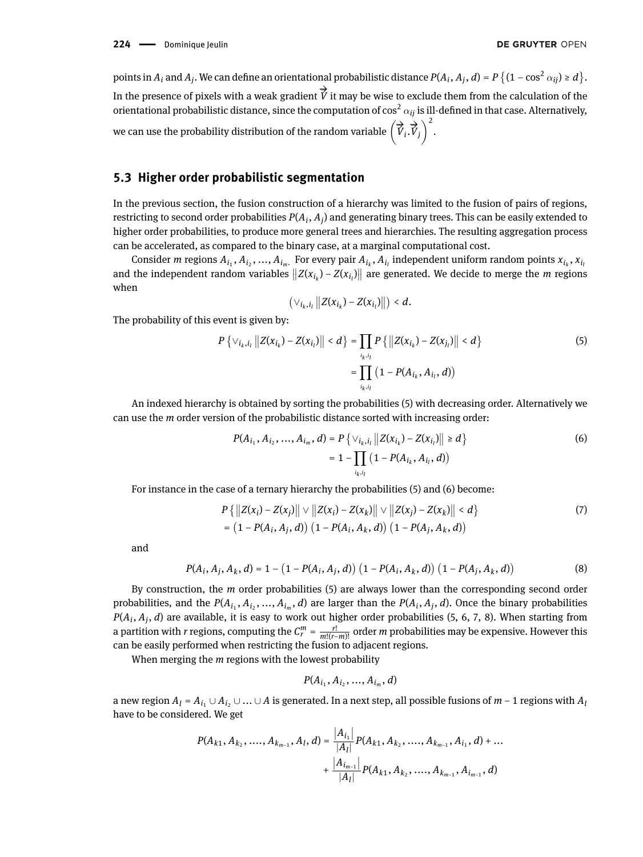points in  $A_i$  and  $A_j$ . We can define an orientational probabilistic distance  $P(A_i, A_j, d) = P\left\{(1-\cos^2\alpha_{ij}) \ge d\right\}$ . In the presence of pixels with a weak gradient  $\overrightarrow{V}$  it may be wise to exclude them from the calculation of the orientational probabilistic distance, since the computation of  $\cos^2\alpha_{ii}$  is ill-defined in that case. Alternatively, we can use the probability distribution of the random variable  $(\overrightarrow{V})$ →<br> $\overrightarrow{V}_i$ .  $\overrightarrow{V}$  $\left(\overrightarrow{V}_j\right)^2$ .

## **5.3 Higher order probabilistic segmentation**

In the previous section, the fusion construction of a hierarchy was limited to the fusion of pairs of regions, restricting to second order probabilities  $P(A_i, A_j)$  and generating binary trees. This can be easily extended to higher order probabilities, to produce more general trees and hierarchies. The resulting aggregation process can be accelerated, as compared to the binary case, at a marginal computational cost.

Consider *m* regions  $A_{i_1}, A_{i_2},..., A_{i_m}$ . For every pair  $A_{i_k}, A_{i_l}$  independent uniform random points  $x_{i_k}, x_{i_l}$ and the independent random variables  $||Z(x_{i_k}) - Z(x_{i_l})||$  are generated. We decide to merge the *m* regions when

<span id="page-8-1"></span><span id="page-8-0"></span>
$$
\left(\vee_{i_k,i_l}\left\|Z(x_{i_k})-Z(x_{i_l})\right\|\right)\leq d.
$$

The probability of this event is given by:

$$
P\left\{\vee_{i_k, i_l} ||Z(x_{i_k}) - Z(x_{i_l})|| < d\right\} = \prod_{i_k, i_l} P\left\{||Z(x_{i_k}) - Z(x_{j_l})|| < d\right\}
$$
\n
$$
= \prod_{i_k, i_l} (1 - P(A_{i_k}, A_{i_l}, d))
$$
\n(5)

An indexed hierarchy is obtained by sorting the probabilities [\(5\)](#page-8-0) with decreasing order. Alternatively we can use the *m* order version of the probabilistic distance sorted with increasing order:

$$
P(A_{i_1}, A_{i_2}, ..., A_{i_m}, d) = P\left\{\vee_{i_k, i_l} ||Z(x_{i_k}) - Z(x_{i_l})|| \ge d\right\}
$$
  
=  $1 - \prod_{i_k, i_l} (1 - P(A_{i_k}, A_{i_l}, d))$  (6)

For instance in the case of a ternary hierarchy the probabilities [\(5\)](#page-8-0) and [\(6\)](#page-8-1) become:

$$
P\{|Z(x_i) - Z(x_j)|| \vee ||Z(x_i) - Z(x_k)|| \vee ||Z(x_j) - Z(x_k)|| < d\}
$$
  
= (1 - P(A\_i, A\_j, d)) (1 - P(A\_i, A\_k, d)) (1 - P(A\_j, A\_k, d)) (1 - P(A\_j, A\_k, d))

and

$$
P(A_i, A_j, A_k, d) = 1 - (1 - P(A_i, A_j, d)) (1 - P(A_i, A_k, d)) (1 - P(A_j, A_k, d))
$$
\n(8)

By construction, the *m* order probabilities [\(5\)](#page-8-0) are always lower than the corresponding second order probabilities, and the  $P(A_{i_1}, A_{i_2},..., A_{i_m}, d)$  are larger than the  $P(A_i, A_j, d)$ . Once the binary probabilities *P*(*A<sup>i</sup>* , *A<sup>j</sup>* , *d*) are available, it is easy to work out higher order probabilities [\(5,](#page-8-0) [6,](#page-8-1) [7,](#page-8-2) [8\)](#page-8-3). When starting from a partition with *r* regions, computing the  $C_r^m = \frac{r!}{m!(r-m)!}$  order *m* probabilities may be expensive. However this can be easily performed when restricting the fusion to adjacent regions.

When merging the *m* regions with the lowest probability

<span id="page-8-3"></span><span id="page-8-2"></span>
$$
P(A_{i_1}, A_{i_2}, ..., A_{i_m}, d)
$$

a new region  $A_l = A_{i_l} ∪ A_{i_l} ∪ ... ∪ A$  is generated. In a next step, all possible fusions of  $m-1$  regions with  $A_l$ have to be considered. We get

$$
P(A_{k1}, A_{k_2}, \ldots, A_{k_{m-1}}, A_l, d) = \frac{|A_{i_1}|}{|A_l|} P(A_{k1}, A_{k_2}, \ldots, A_{k_{m-1}}, A_{i_1}, d) + \ldots + \frac{|A_{i_{m-1}}|}{|A_l|} P(A_{k1}, A_{k_2}, \ldots, A_{k_{m-1}}, A_{i_{m-1}}, d)
$$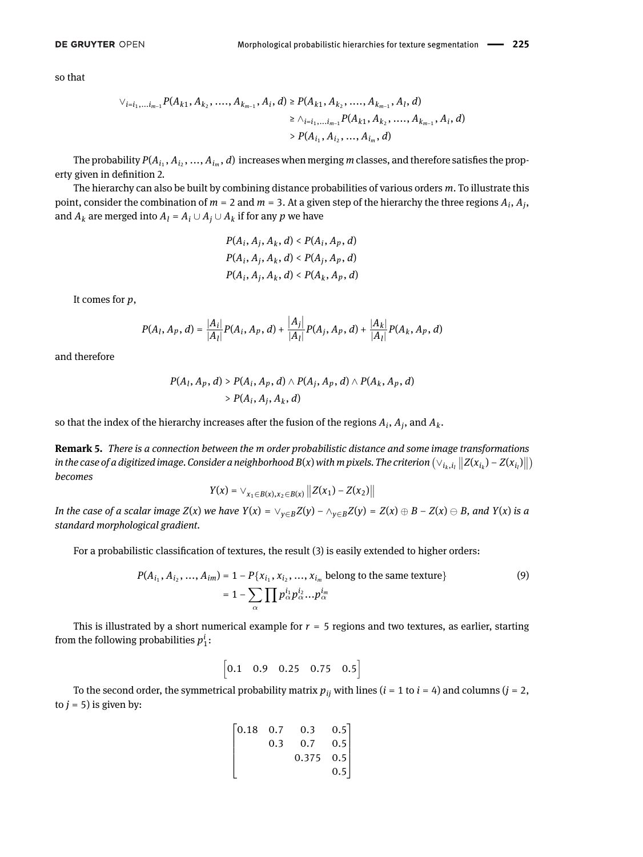so that

$$
\begin{aligned}\n\vee_{i=i_1,...i_{m-1}} P(A_{k1}, A_{k_2}, ..., A_{k_{m-1}}, A_i, d) &\ge P(A_{k1}, A_{k_2}, ..., A_{k_{m-1}}, A_l, d) \\
&\ge \wedge_{i=i_1,...i_{m-1}} P(A_{k1}, A_{k_2}, ..., A_{k_{m-1}}, A_i, d) \\
&\ge P(A_{i_1}, A_{i_2}, ..., A_{i_m}, d)\n\end{aligned}
$$

The probability  $P(A_{i_1}, A_{i_2},..., A_{i_m}, d)$  increases when merging  $m$  classes, and therefore satisfies the prop-erty given in definition [2.](#page-5-0)

The hierarchy can also be built by combining distance probabilities of various orders *m*. To illustrate this point, consider the combination of  $m = 2$  and  $m = 3$ . At a given step of the hierarchy the three regions  $A_i$ ,  $A_j$ , and  $A_k$  are merged into  $A_l = A_i \cup A_j \cup A_k$  if for any  $p$  we have

$$
P(A_i, A_j, A_k, d) < P(A_i, A_p, d)
$$
\n
$$
P(A_i, A_j, A_k, d) < P(A_j, A_p, d)
$$
\n
$$
P(A_i, A_j, A_k, d) < P(A_k, A_p, d)
$$

It comes for *p*,

$$
P(A_l, A_p, d) = \frac{|A_i|}{|A_l|} P(A_i, A_p, d) + \frac{|A_j|}{|A_l|} P(A_j, A_p, d) + \frac{|A_k|}{|A_l|} P(A_k, A_p, d)
$$

and therefore

$$
P(A_l, A_p, d) > P(A_i, A_p, d) \wedge P(A_j, A_p, d) \wedge P(A_k, A_p, d)
$$
  
> 
$$
P(A_l, A_j, A_k, d)
$$

so that the index of the hierarchy increases after the fusion of the regions  $A_i$ ,  $A_j$ , and  $A_k$ .

**Remark 5.** *There is a connection between the m order probabilistic distance and some image transformations* in the case of a digitized image. Consider a neighborhood B(x) with m pixels. The criterion  $(\vee_{i_k,i_l}||Z(x_{i_k}) - Z(x_{i_l})||)$ *becomes*

$$
Y(x) = \vee_{x_1 \in B(x), x_2 \in B(x)} ||Z(x_1) - Z(x_2)||
$$

In the case of a scalar image  $Z(x)$  we have  $Y(x) = \vee_{v \in B} Z(y) - \wedge_{v \in B} Z(y) = Z(x) \oplus B - Z(x) \oplus B$ , and  $Y(x)$  is a *standard morphological gradient.*

For a probabilistic classification of textures, the result [\(3\)](#page-6-0) is easily extended to higher orders:

$$
P(A_{i_1}, A_{i_2}, ..., A_{im}) = 1 - P\{x_{i_1}, x_{i_2}, ..., x_{i_m} \text{ belong to the same texture}\}\
$$

$$
= 1 - \sum_{\alpha} \prod p_{\alpha}^{i_1} p_{\alpha}^{i_2} ... p_{\alpha}^{i_m}
$$
(9)

This is illustrated by a short numerical example for  $r = 5$  regions and two textures, as earlier, starting from the following probabilities  $p_1^i$ :

$$
\begin{bmatrix} 0.1 & 0.9 & 0.25 & 0.75 & 0.5 \end{bmatrix}
$$

To the second order, the symmetrical probability matrix  $p_{ij}$  with lines ( $i = 1$  to  $i = 4$ ) and columns ( $j = 2$ , to  $j = 5$ ) is given by:

$$
\begin{bmatrix}\n0.18 & 0.7 & 0.3 & 0.5 \\
0.3 & 0.7 & 0.5 \\
0.375 & 0.5 \\
0.5\n\end{bmatrix}
$$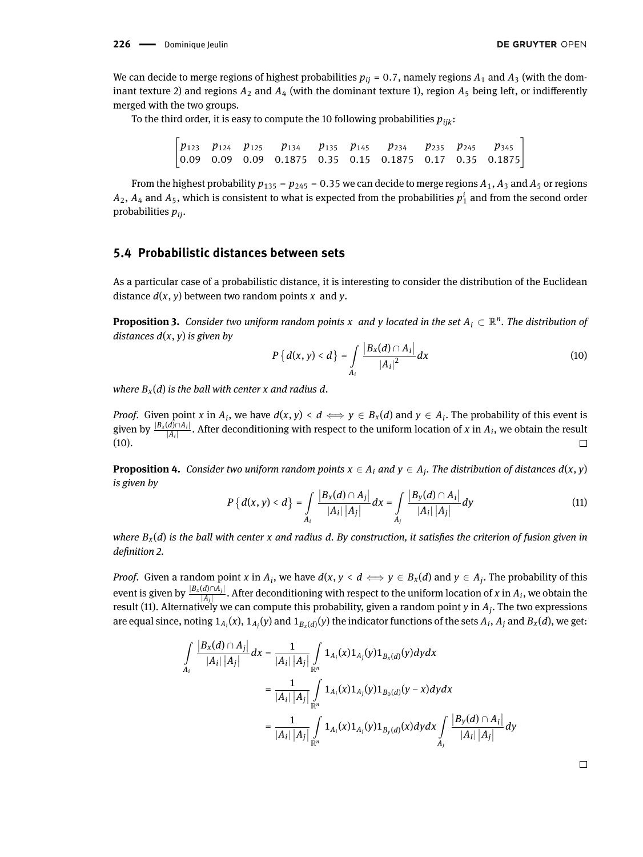We can decide to merge regions of highest probabilities  $p_{ij} = 0.7$ , namely regions  $A_1$  and  $A_3$  (with the dominant texture 2) and regions  $A_2$  and  $A_4$  (with the dominant texture 1), region  $A_5$  being left, or indifferently merged with the two groups.

To the third order, it is easy to compute the 10 following probabilities  $p_{ijk}$ :

 $\begin{bmatrix} p_{123} & p_{124} & p_{125} & p_{134} & p_{135} & p_{145} & p_{234} & p_{235} & p_{245} & p_{345} \ 0.09 & 0.09 & 0.09 & 0.1875 & 0.35 & 0.15 & 0.1875 & 0.17 & 0.35 & 0.1875 \end{bmatrix}$ 

From the highest probability  $p_{135} = p_{245} = 0.35$  we can decide to merge regions  $A_1$ ,  $A_3$  and  $A_5$  or regions  $A_2, A_4$  and  $A_5$ , which is consistent to what is expected from the probabilities  $p_1^i$  and from the second order probabilities *pij*.

## <span id="page-10-2"></span>**5.4 Probabilistic distances between sets**

As a particular case of a probabilistic distance, it is interesting to consider the distribution of the Euclidean distance  $d(x, y)$  between two random points  $x$  and  $y$ .

**Proposition 3.** Consider two uniform random points  $x$  and  $y$  located in the set  $A_i \subset \mathbb{R}^n$ . The distribution of *distances d*(*x*, *y*) *is given by*

<span id="page-10-0"></span>
$$
P\{d(x, y) < d\} = \int\limits_{A_i} \frac{|B_x(d) \cap A_i|}{|A_i|^2} dx \tag{10}
$$

*where*  $B_x(d)$  *is the ball with center x and radius d.* 

*Proof.* Given point *x* in  $A_i$ , we have  $d(x, y) < d \iff y \in B_x(d)$  and  $y \in A_i$ . The probability of this event is given by  $\frac{|B_x(d) \cap A_i|}{|A_i|}$ . After deconditioning with respect to the uniform location of *x* in  $A_i$ , we obtain the result [\(10\)](#page-10-0).  $\Box$ 

<span id="page-10-1"></span>**Proposition 4.** Consider two uniform random points  $x \in A_i$  and  $y \in A_j$ . The distribution of distances  $d(x, y)$ *is given by*

$$
P\left\{d(x,y) < d\right\} = \int\limits_{A_i} \frac{|B_x(d) \cap A_j|}{|A_i| |A_j|} dx = \int\limits_{A_j} \frac{|B_y(d) \cap A_i|}{|A_i| |A_j|} dy \tag{11}
$$

*where*  $B_x(d)$  *is the ball with center x and radius d. By construction, it satisfies the criterion of fusion given in denition [2.](#page-5-0)*

*Proof.* Given a random point *x* in  $A_i$ , we have  $d(x, y < d \iff y \in B_x(d)$  and  $y \in A_j$ . The probability of this event is given by  $\frac{|B_x(d) \cap A_j|}{|A_j|}$ . After deconditioning with respect to the uniform location of *x* in  $A_i$ , we obtain the result [\(11\)](#page-10-1). Alternatively we can compute this probability, given a random point *y* in *A<sup>j</sup>* . The two expressions are equal since, noting  $1_{A_i}(x)$ ,  $1_{A_j}(y)$  and  $1_{B_x(d)}(y)$  the indicator functions of the sets  $A_i$ ,  $A_j$  and  $B_x(d)$ , we get:

$$
\int_{A_i} \frac{|B_x(d) \cap A_j|}{|A_i| |A_j|} dx = \frac{1}{|A_i| |A_j|} \int_{\mathbb{R}^n} 1_{A_i}(x) 1_{A_j}(y) 1_{B_x(d)}(y) dy dx
$$
  
\n
$$
= \frac{1}{|A_i| |A_j|} \int_{\mathbb{R}^n} 1_{A_i}(x) 1_{A_j}(y) 1_{B_0(d)}(y - x) dy dx
$$
  
\n
$$
= \frac{1}{|A_i| |A_j|} \int_{\mathbb{R}^n} 1_{A_i}(x) 1_{A_j}(y) 1_{B_y(d)}(x) dy dx \int_{A_j} \frac{|B_y(d) \cap A_i|}{|A_i| |A_j|} dy
$$

 $\Box$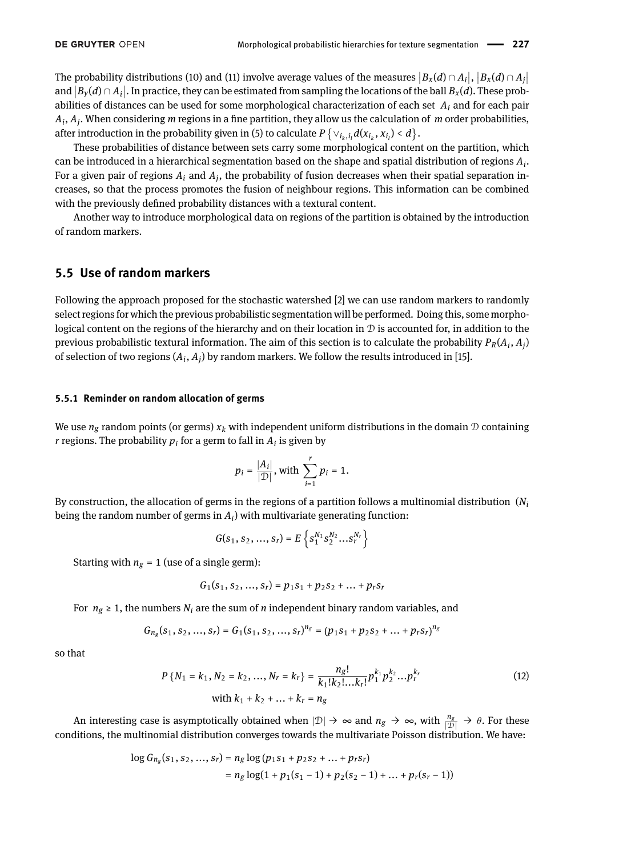The probability distributions [\(10\)](#page-10-0) and [\(11\)](#page-10-1) involve average values of the measures  $|B_x(d) \cap A_i|, |B_x(d) \cap A_j|$ and  $|B_y(d) \cap A_i|$ . In practice, they can be estimated from sampling the locations of the ball  $B_x(d)$ . These probabilities of distances can be used for some morphological characterization of each set *A<sup>i</sup>* and for each pair  $A_i$ ,  $A_j$ . When considering  $m$  regions in a fine partition, they allow us the calculation of  $m$  order probabilities, after introduction in the probability given in [\(5\)](#page-8-0) to calculate  $P\left\{\vee_{i_k,i_l}d(x_{i_k},x_{i_l})< d\right\}.$ 

These probabilities of distance between sets carry some morphological content on the partition, which can be introduced in a hierarchical segmentation based on the shape and spatial distribution of regions *A<sup>i</sup>* . For a given pair of regions  $A_i$  and  $A_j$ , the probability of fusion decreases when their spatial separation increases, so that the process promotes the fusion of neighbour regions. This information can be combined with the previously defined probability distances with a textural content.

Another way to introduce morphological data on regions of the partition is obtained by the introduction of random markers.

## **5.5 Use of random markers**

Following the approach proposed for the stochastic watershed [\[2\]](#page-17-14) we can use random markers to randomly select regions for which the previous probabilistic segmentation will be performed. Doing this, some morphological content on the regions of the hierarchy and on their location in  $D$  is accounted for, in addition to the previous probabilistic textural information. The aim of this section is to calculate the probability  $P_R(A_i, A_j)$ of selection of two regions  $(A_i, A_j)$  by random markers. We follow the results introduced in [\[15\]](#page-17-15).

#### **5.5.1 Reminder on random allocation of germs**

We use  $n_g$  random points (or germs)  $x_k$  with independent uniform distributions in the domain  $D$  containing  $r$  regions. The probability  $p_i$  for a germ to fall in  $A_i$  is given by

$$
p_i = \frac{|A_i|}{|\mathcal{D}|}
$$
, with  $\sum_{i=1}^r p_i = 1$ .

By construction, the allocation of germs in the regions of a partition follows a multinomial distribution (*N<sup>i</sup>* being the random number of germs in *A<sup>i</sup>* ) with multivariate generating function:

$$
G(s_1, s_2, ..., s_r) = E\left\{s_1^{N_1}s_2^{N_2}...s_r^{N_r}\right\}
$$

Starting with  $n_g = 1$  (use of a single germ):

$$
G_1(s_1, s_2, ..., s_r) = p_1s_1 + p_2s_2 + ... + p_r s_r
$$

For  $n_g \geq 1$ , the numbers  $N_i$  are the sum of *n* independent binary random variables, and

$$
G_{n_g}(s_1, s_2, ..., s_r) = G_1(s_1, s_2, ..., s_r)^{n_g} = (p_1s_1 + p_2s_2 + ... + p_r s_r)^{n_g}
$$

so that

$$
P\{N_1 = k_1, N_2 = k_2, ..., N_r = k_r\} = \frac{n_g!}{k_1!k_2!...k_r!}p_1^{k_1}p_2^{k_2}...p_r^{k_r}
$$
\nwith  $k_1 + k_2 + ... + k_r = n_g$ 

\n(12)

An interesting case is asymptotically obtained when  $|\mathcal{D}| \to \infty$  and  $n_g \to \infty$ , with  $\frac{n_g}{|\mathcal{D}|} \to \theta$ . For these conditions, the multinomial distribution converges towards the multivariate Poisson distribution. We have:

$$
\begin{aligned} \log G_{n_g}(s_1, s_2, ..., s_r) &= n_g \log \left( p_1 s_1 + p_2 s_2 + ... + p_r s_r \right) \\ &= n_g \log (1 + p_1(s_1 - 1) + p_2(s_2 - 1) + ... + p_r(s_r - 1)) \end{aligned}
$$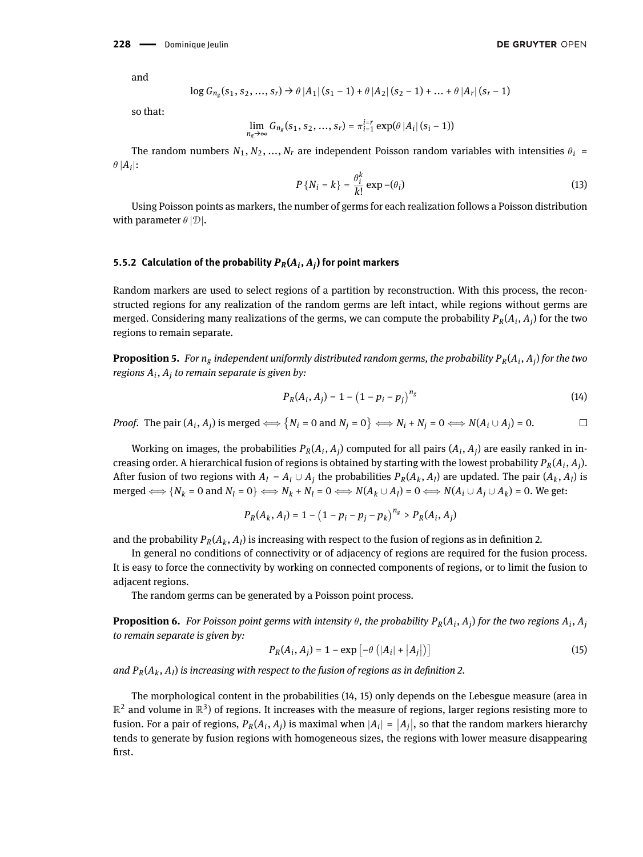and

$$
\log G_{n_g}(s_1, s_2, ..., s_r) \rightarrow \theta |A_1| (s_1 - 1) + \theta |A_2| (s_2 - 1) + ... + \theta |A_r| (s_r - 1)
$$

so that:

$$
\lim_{n_g \to \infty} G_{n_g}(s_1, s_2, ..., s_r) = \pi_{i=1}^{i=r} \exp(\theta |A_i| (s_i - 1))
$$

The random numbers  $N_1, N_2, ..., N_r$  are independent Poisson random variables with intensities  $\theta_i$  =  $\theta |A_i|$ :

$$
P\{N_i = k\} = \frac{\theta_i^k}{k!} \exp(-\theta_i)
$$
 (13)

Using Poisson points as markers, the number of germs for each realization follows a Poisson distribution with parameter  $\theta$  |D|.

### **5.5.2 Calculation of the probability** *PR***(***A<sup>i</sup>* **,** *A<sup>j</sup>* **) for point markers**

Random markers are used to select regions of a partition by reconstruction. With this process, the reconstructed regions for any realization of the random germs are left intact, while regions without germs are merged. Considering many realizations of the germs, we can compute the probability *PR*(*A<sup>i</sup>* , *A<sup>j</sup>* ) for the two regions to remain separate.

**Proposition 5.** *For n<sup>g</sup> independent uniformly distributed random germs, the probability PR*(*A<sup>i</sup>* , *A<sup>j</sup>* ) *for the two regions A<sup>i</sup>* , *A<sup>j</sup> to remain separate is given by:*

<span id="page-12-0"></span>
$$
P_R(A_i, A_j) = 1 - (1 - p_i - p_j)^{n_g}
$$
\n(14)

*Proof.* The pair  $(A_i, A_j)$  is merged  $\Longleftrightarrow \{N_i = 0 \text{ and } N_j = 0\} \Longleftrightarrow N_i + N_j = 0 \Longleftrightarrow N(A_i \cup A_j) = 0.$  $\Box$ 

Working on images, the probabilities  $P_R(A_i, A_j)$  computed for all pairs  $(A_i, A_j)$  are easily ranked in increasing order. A hierarchical fusion of regions is obtained by starting with the lowest probability  $P_R(A_i, A_j)$ . After fusion of two regions with  $A_l = A_i \cup A_j$  the probabilities  $P_R(A_k, A_l)$  are updated. The pair  $(A_k, A_l)$  is merged  $\Longleftrightarrow \{N_k = 0 \text{ and } N_l = 0\} \Longleftrightarrow N_k + N_l = 0 \Longleftrightarrow N(A_k \cup A_l) = 0 \Longleftrightarrow N(A_i \cup A_j \cup A_k) = 0.$  We get:

$$
P_R(A_k, A_l) = 1 - (1 - p_i - p_j - p_k)^{n_g} > P_R(A_i, A_j)
$$

and the probability  $P_R(A_k, A_l)$  is increasing with respect to the fusion of regions as in definition [2.](#page-5-0)

In general no conditions of connectivity or of adjacency of regions are required for the fusion process. It is easy to force the connectivity by working on connected components of regions, or to limit the fusion to adjacent regions.

The random germs can be generated by a Poisson point process.

**Proposition 6.** For Poisson point germs with intensity  $\theta$ , the probability  $P_R(A_i, A_j)$  for the two regions  $A_i, A_j$ *to remain separate is given by:*

<span id="page-12-1"></span>
$$
P_R(A_i, A_j) = 1 - \exp\left[-\theta\left(|A_i| + |A_j|\right)\right] \tag{15}
$$

and  $P_R(A_k, A_l)$  is increasing with respect to the fusion of regions as in definition [2.](#page-5-0)

The morphological content in the probabilities [\(14,](#page-12-0) [15\)](#page-12-1) only depends on the Lebesgue measure (area in  $\mathbb{R}^2$  and volume in  $\mathbb{R}^3$ ) of regions. It increases with the measure of regions, larger regions resisting more to fusion. For a pair of regions,  $P_R(A_i, A_j)$  is maximal when  $|A_i| = |A_j|$ , so that the random markers hierarchy tends to generate by fusion regions with homogeneous sizes, the regions with lower measure disappearing first.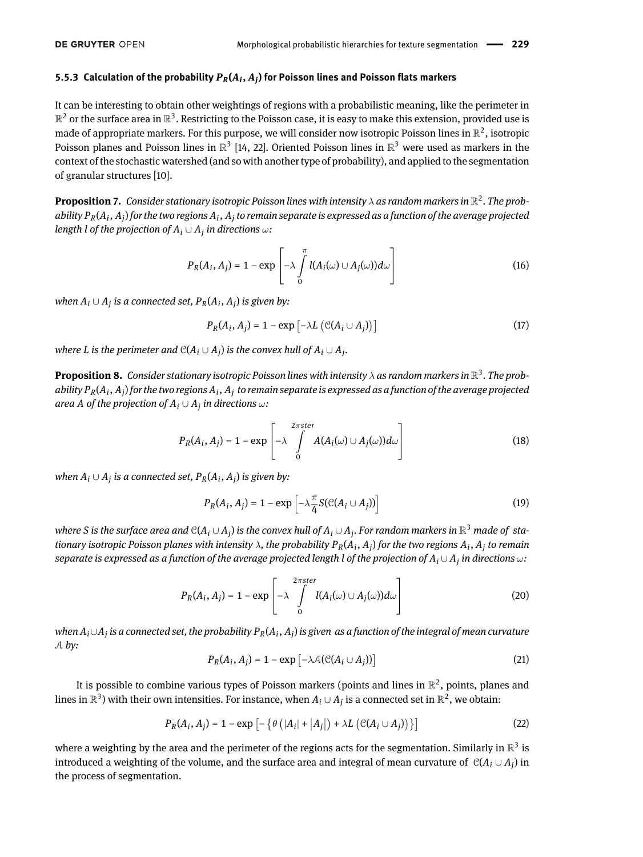## **5.5.3 Calculation of the probability** *PR***(***A<sup>i</sup>* **,** *A<sup>j</sup>* **) for Poisson lines and Poisson flats markers**

It can be interesting to obtain other weightings of regions with a probabilistic meaning, like the perimeter in  $\mathbb{R}^2$  or the surface area in  $\mathbb{R}^3$ . Restricting to the Poisson case, it is easy to make this extension, provided use is made of appropriate markers. For this purpose, we will consider now isotropic Poisson lines in  $\mathbb{R}^2$ , isotropic Poisson planes and Poisson lines in  $\mathbb{R}^3$  [\[14,](#page-17-20) [22\]](#page-17-21). Oriented Poisson lines in  $\mathbb{R}^3$  were used as markers in the context of the stochastic watershed (and so with another type of probability), and applied to the segmentation of granular structures [\[10\]](#page-17-17).

**Proposition 7.** Consider stationary isotropic Poisson lines with intensity  $\lambda$  as random markers in  $\mathbb{R}^2$ . The probability  $P_R(A_i, A_j)$  for the two regions  $A_i, A_j$  to remain separate is expressed as a function of the average projected *length l of the projection of A<sup>i</sup>* ∪ *A<sup>j</sup> in directions* ω*:*

$$
P_R(A_i, A_j) = 1 - \exp\left[-\lambda \int\limits_0^{\pi} l(A_i(\omega) \cup A_j(\omega))d\omega\right]
$$
 (16)

 $\mathcal{A}_i \cup A_j$  *is a connected set,*  $P_R(A_i, A_j)$  *is given by:* 

$$
P_R(A_i, A_j) = 1 - \exp\left[-\lambda L\left(\mathcal{C}(A_i \cup A_j)\right)\right]
$$
 (17)

 $\mathcal{C}(A_i \cup A_j)$  *is the perimeter and*  $\mathcal{C}(A_i \cup A_j)$  *is the convex hull of*  $A_i \cup A_j$ *.* 

**Proposition 8.** Consider stationary isotropic Poisson lines with intensity  $\lambda$  as random markers in  $\mathbb{R}^3$ . The probability  $P_R(A_i, A_j)$  for the two regions  $A_i, A_j$  to remain separate is expressed as a function of the average projected area A of the projection of  $A_i\cup A_j$  in directions  $\omega$ :

$$
P_R(A_i, A_j) = 1 - \exp\left[-\lambda \int\limits_0^{2\pi \text{ster}} A(A_i(\omega) \cup A_j(\omega))d\omega\right]
$$
 (18)

 $\mathcal{M}$  *M*<sub>*i*</sub>  $\cup$  *A<sub>j</sub>* is a connected set,  $P_R(A_i, A_j)$  is given by:

$$
P_R(A_i, A_j) = 1 - \exp\left[-\lambda \frac{\pi}{4} S(\mathcal{C}(A_i \cup A_j))\right]
$$
 (19)

where S is the surface area and  $\mathcal{C}(A_i\cup A_j)$  is the convex hull of  $A_i\cup A_j$ . For random markers in  $\mathbb{R}^3$  made of stationary isotropic Poisson planes with intensity  $\lambda$ , the probability  $P_R(A_i, A_j)$  for the two regions  $A_i, A_j$  to remain *separate is expressed as a function of the average projected length l of the projection of A<sup>i</sup>* ∪ *A<sup>j</sup> in directions* ω*:*

$$
P_R(A_i, A_j) = 1 - \exp\left[-\lambda \int\limits_0^{2\pi ster} l(A_i(\omega) \cup A_j(\omega))d\omega\right]
$$
 (20)

 $\omega$ hen  $A_i \cup A_j$  is a connected set, the probability  $P_R(A_i, A_j)$  is given as a function of the integral of mean curvature A *by:*

$$
P_R(A_i, A_j) = 1 - \exp\left[-\lambda A(\mathcal{C}(A_i \cup A_j))\right]
$$
 (21)

It is possible to combine various types of Poisson markers (points and lines in  $\mathbb{R}^2$ , points, planes and lines in  $\mathbb{R}^3$ ) with their own intensities. For instance, when  $A_i\cup A_j$  is a connected set in  $\mathbb{R}^2$ , we obtain:

$$
P_R(A_i, A_j) = 1 - \exp\left[-\left\{\theta\left(|A_i| + |A_j|\right) + \lambda L\left(\mathcal{C}(A_i \cup A_j)\right)\right\}\right]
$$
(22)

where a weighting by the area and the perimeter of the regions acts for the segmentation. Similarly in  $\mathbb{R}^3$  is introduced a weighting of the volume, and the surface area and integral of mean curvature of  $\mathcal{C}(A_i \cup A_j)$  in the process of segmentation.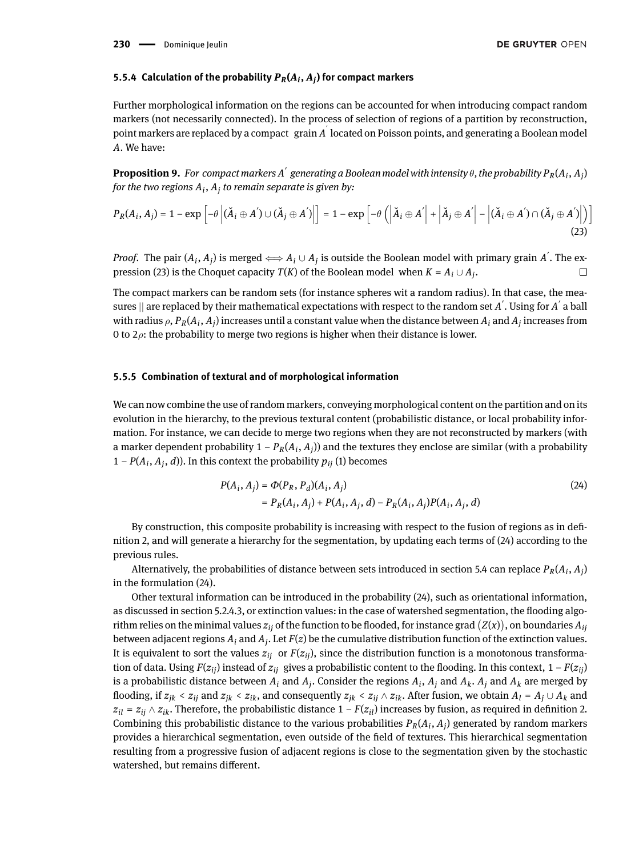### **5.5.4 Calculation of the probability** *PR***(***A<sup>i</sup>* **,** *A<sup>j</sup>* **) for compact markers**

Further morphological information on the regions can be accounted for when introducing compact random markers (not necessarily connected). In the process of selection of regions of a partition by reconstruction, point markers are replaced by a compact grain *A* ′ located on Poisson points, and generating a Boolean model *A*. We have:

**Proposition 9.** For compact markers A $^{'}$  generating a Boolean model with intensity  $\theta$ , the probability  $P_R(A_i, A_j)$ *for the two regions A<sup>i</sup>* , *A<sup>j</sup> to remain separate is given by:*

$$
P_R(A_i, A_j) = 1 - \exp\left[-\theta \left| (\check{A}_i \oplus A') \cup (\check{A}_j \oplus A')\right|\right] = 1 - \exp\left[-\theta \left( \left| \check{A}_i \oplus A' \right| + \left| \check{A}_j \oplus A' \right| - \left| (\check{A}_i \oplus A') \cap (\check{A}_j \oplus A')\right|\right)\right]
$$
\n(23)

*Proof.* The pair  $(A_i, A_j)$  is merged  $\Longleftrightarrow A_i \cup A_j$  is outside the Boolean model with primary grain  $A^{'}$ . The ex-pression [\(23\)](#page-14-0) is the Choquet capacity *T*(*K*) of the Boolean model when  $K = A_i \cup A_j$ .  $\Box$ 

The compact markers can be random sets (for instance spheres wit a random radius). In that case, the measures  $\parallel$  are replaced by their mathematical expectations with respect to the random set  $A^{'}.$  Using for  $A^{'}$  a ball with radius  $\rho$ ,  $P_R(A_i, A_j)$  increases until a constant value when the distance between  $A_i$  and  $A_j$  increases from 0 to  $2\rho$ : the probability to merge two regions is higher when their distance is lower.

#### **5.5.5 Combination of textural and of morphological information**

We can now combine the use of random markers, conveying morphological content on the partition and on its evolution in the hierarchy, to the previous textural content (probabilistic distance, or local probability information. For instance, we can decide to merge two regions when they are not reconstructed by markers (with a marker dependent probability  $1 - P_R(A_i, A_j)$ ) and the textures they enclose are similar (with a probability  $1 - P(A_i, A_j, d)$ ). In this context the probability  $p_{ij}$  [\(1\)](#page-3-0) becomes

<span id="page-14-1"></span><span id="page-14-0"></span>
$$
P(A_i, A_j) = \Phi(P_R, P_d)(A_i, A_j)
$$
  
=  $P_R(A_i, A_j) + P(A_i, A_j, d) - P_R(A_i, A_j)P(A_i, A_j, d)$  (24)

By construction, this composite probability is increasing with respect to the fusion of regions as in definition [2,](#page-5-0) and will generate a hierarchy for the segmentation, by updating each terms of [\(24\)](#page-14-1) according to the previous rules.

Alternatively, the probabilities of distance between sets introduced in section [5.4](#page-10-2) can replace  $P_R(A_i, A_j)$ in the formulation [\(24\)](#page-14-1).

Other textural information can be introduced in the probability [\(24\)](#page-14-1), such as orientational information, as discussed in section [5.2.4.3,](#page-7-0) or extinction values: in the case of watershed segmentation, the flooding algorithm relies on the minimal values  $z_{ij}$  of the function to be flooded, for instance grad  $(Z(x))$ , on boundaries  $A_{ij}$ between adjacent regions  $A_i$  and  $A_j$ . Let  $F(z)$  be the cumulative distribution function of the extinction values. It is equivalent to sort the values  $z_{ij}$  or  $F(z_{ij})$ , since the distribution function is a monotonous transformation of data. Using *F*( $z_{ij}$ ) instead of  $z_{ij}$  gives a probabilistic content to the flooding. In this context, 1 – *F*( $z_{ij}$ ) is a probabilistic distance between  $A_i$  and  $A_j$ . Consider the regions  $A_i$ ,  $A_j$  and  $A_k$ .  $A_j$  and  $A_k$  are merged by flooding, if  $z_{ik} < z_{ij}$  and  $z_{ik} < z_{ik}$ , and consequently  $z_{ik} < z_{ij} \wedge z_{ik}$ . After fusion, we obtain  $A_l = A_j \cup A_k$  and  $z_{il} = z_{ij} \wedge z_{ik}$ . Therefore, the probabilistic distance 1 – *F*( $z_{il}$ ) increases by fusion, as required in definition [2.](#page-5-0) Combining this probabilistic distance to the various probabilities  $P_R(A_i, A_j)$  generated by random markers provides a hierarchical segmentation, even outside of the field of textures. This hierarchical segmentation resulting from a progressive fusion of adjacent regions is close to the segmentation given by the stochastic watershed, but remains different.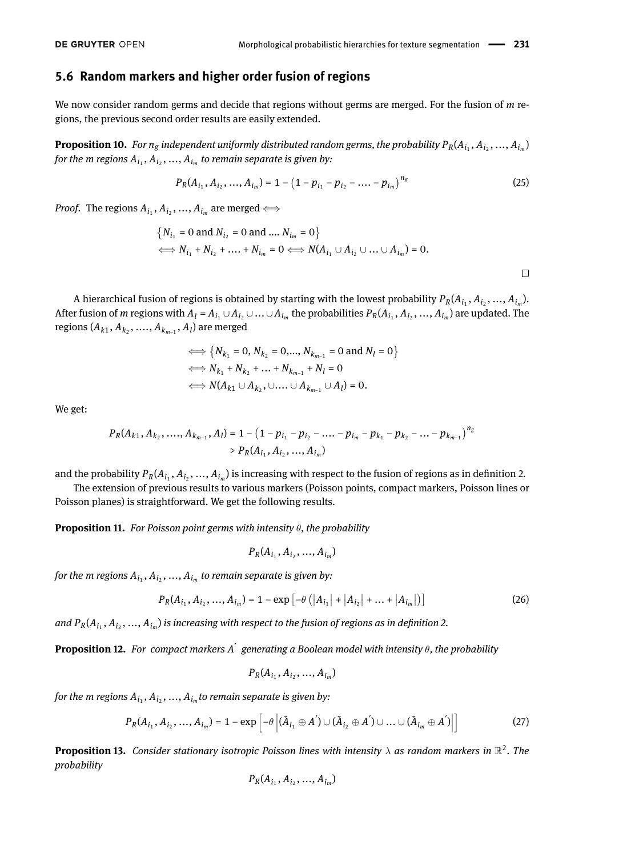## **5.6 Random markers and higher order fusion of regions**

We now consider random germs and decide that regions without germs are merged. For the fusion of *m* regions, the previous second order results are easily extended.

**Proposition 10.** For  $n_g$  independent uniformly distributed random germs, the probability  $P_R(A_{i_1}, A_{i_2},..., A_{i_m})$ for the  $m$  regions  $A_{i_1}, A_{i_2},..., A_{i_m}$  to remain separate is given by:

$$
P_R(A_{i_1}, A_{i_2}, ..., A_{i_m}) = 1 - \left(1 - p_{i_1} - p_{i_2} - \dots - p_{i_m}\right)^{n_g}
$$
\n(25)

*Proof.* The regions  $A_{i_1}, A_{i_2},..., A_{i_m}$  are merged  $\Longleftrightarrow$ 

$$
\{N_{i_1} = 0 \text{ and } N_{i_2} = 0 \text{ and } \dots N_{i_m} = 0\}
$$
  

$$
\iff N_{i_1} + N_{i_2} + \dots + N_{i_m} = 0 \iff N(A_{i_1} \cup A_{i_2} \cup \dots \cup A_{i_m}) = 0.
$$

A hierarchical fusion of regions is obtained by starting with the lowest probability  $P_R(A_{i_1}, A_{i_2},..., A_{i_m})$ . After fusion of m regions with  $A_l = A_{i_1} \cup A_{i_2} \cup ... \cup A_{i_m}$  the probabilities  $P_R(A_{i_1}, A_{i_2}, ..., A_{i_m})$  are updated. The regions  $(A_{k1}, A_{k_2}, \ldots, A_{k_{m-1}}, A_l)$  are merged

$$
\iff \{N_{k_1} = 0, N_{k_2} = 0, ..., N_{k_{m-1}} = 0 \text{ and } N_l = 0\}
$$
  

$$
\iff N_{k_1} + N_{k_2} + ... + N_{k_{m-1}} + N_l = 0
$$
  

$$
\iff N(A_{k_1} \cup A_{k_2}, \cup ... \cup A_{k_{m-1}} \cup A_l) = 0.
$$

We get:

$$
P_R(A_{k1}, A_{k_2}, \ldots, A_{k_{m-1}}, A_l) = 1 - (1 - p_{i_1} - p_{i_2} - \ldots - p_{i_m} - p_{k_1} - p_{k_2} - \ldots - p_{k_{m-1}})^{n_g}
$$
  
>  $P_R(A_{i_1}, A_{i_2}, \ldots, A_{i_m})$ 

and the probability  $P_R(A_{i_1}, A_{i_2},..., A_{i_m})$  is increasing with respect to the fusion of regions as in definition [2.](#page-5-0)

The extension of previous results to various markers (Poisson points, compact markers, Poisson lines or Poisson planes) is straightforward. We get the following results.

**Proposition 11.** *For Poisson point germs with intensity* θ*, the probability*

$$
P_R(A_{i_1}, A_{i_2}, ..., A_{i_m})
$$

for the  $m$  regions  $A_{i_1}, A_{i_2},..., A_{i_m}$  to remain separate is given by:

$$
P_R(A_{i_1}, A_{i_2}, ..., A_{i_m}) = 1 - \exp\left[-\theta\left(\left|A_{i_1}\right| + \left|A_{i_2}\right| + ... + \left|A_{i_m}\right|\right)\right] \tag{26}
$$

and  $P_R(A_{i_1}, A_{i_2},..., A_{i_m})$  is increasing with respect to the fusion of regions as in definition [2.](#page-5-0)

**Proposition 12.** *For compact markers A* ′ *generating a Boolean model with intensity* θ*, the probability*

$$
P_R(A_{i_1}, A_{i_2}, ..., A_{i_m})
$$

for the  $m$  regions  $A_{i_1}, A_{i_2},..., A_{i_m}$ to remain separate is given by:

$$
P_R(A_{i_1}, A_{i_2}, ..., A_{i_m}) = 1 - \exp\left[-\theta \left| (\check{A}_{i_1} \oplus A') \cup (\check{A}_{i_2} \oplus A') \cup ... \cup (\check{A}_{i_m} \oplus A')\right|\right]
$$
(27)

**Proposition 13.** Consider stationary isotropic Poisson lines with intensity  $\lambda$  as random markers in  $\mathbb{R}^2$ . The *probability*

$$
{\cal P}_{\cal R}(A_{i_1},A_{i_2},...,A_{i_m})
$$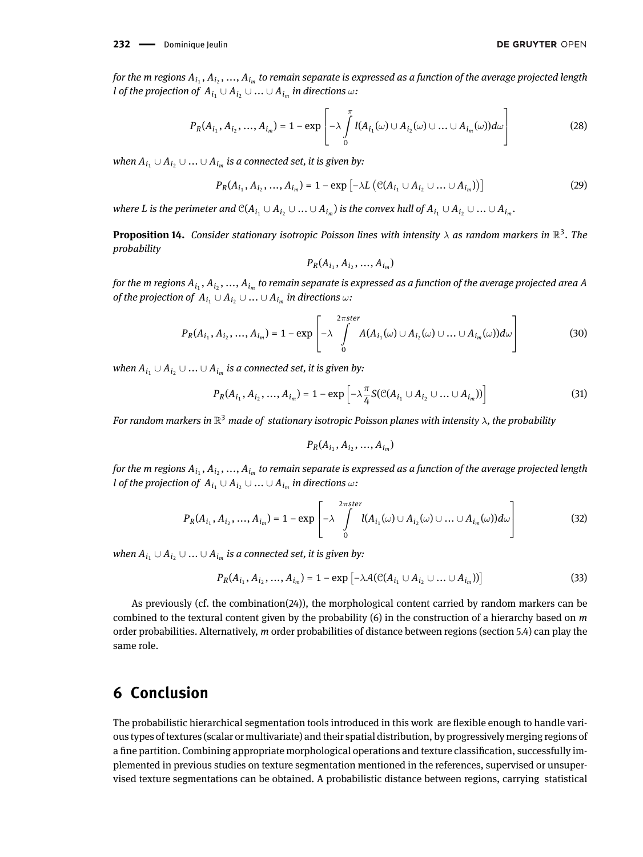for the m regions  $A_{i_1},A_{i_2},...,A_{i_m}$  to remain separate is expressed as a function of the average projected length  $l$  *of the projection of*  $A_{i_1} \cup A_{i_2} \cup ... \cup A_{i_m}$  *in directions*  $\omega$ *:* 

$$
P_R(A_{i_1}, A_{i_2}, ..., A_{i_m}) = 1 - \exp\left[-\lambda \int\limits_0^{\pi} l(A_{i_1}(\omega) \cup A_{i_2}(\omega) \cup ... \cup A_{i_m}(\omega))d\omega\right]
$$
(28)

 $\emph{when }$   $A_{i_1}$  ∪  $A_{i_2}$  ∪  $...$  ∪  $A_{i_m}$  is a connected set, it is given by:

$$
P_R(A_{i_1}, A_{i_2}, ..., A_{i_m}) = 1 - \exp\left[-\lambda L\left(\mathcal{C}(A_{i_1} \cup A_{i_2} \cup ... \cup A_{i_m})\right)\right]
$$
(29)

where L is the perimeter and  $\mathbb{C}(A_{i_1}\cup A_{i_2}\cup...\cup A_{i_m})$  is the convex hull of  $A_{i_1}\cup A_{i_2}\cup...\cup A_{i_m}.$ 

**Proposition 14.** Consider stationary isotropic Poisson lines with intensity  $\lambda$  as random markers in  $\mathbb{R}^3$ . The *probability*

$$
P_R(A_{i_1}, A_{i_2}, ..., A_{i_m})
$$

for the m regions  $A_{i_1},A_{i_2},...,A_{i_m}$  to remain separate is expressed as a function of the average projected area A  $\delta$  *of the projection of*  $A_{i_1} \cup A_{i_2} \cup ... \cup A_{i_m}$  *in directions*  $\omega$ *:* 

$$
P_R(A_{i_1}, A_{i_2}, ..., A_{i_m}) = 1 - \exp\left[-\lambda \int\limits_{0}^{2\pi \text{ster}} A(A_{i_1}(\omega) \cup A_{i_2}(\omega) \cup ... \cup A_{i_m}(\omega))d\omega\right]
$$
(30)

 $\emph{when }$   $A_{i_1}$  ∪  $A_{i_2}$  ∪  $...$  ∪  $A_{i_m}$  is a connected set, it is given by:

$$
P_R(A_{i_1}, A_{i_2}, ..., A_{i_m}) = 1 - \exp\left[-\lambda \frac{\pi}{4} S(\mathcal{C}(A_{i_1} \cup A_{i_2} \cup ... \cup A_{i_m}))\right]
$$
(31)

*For random markers in* R <sup>3</sup> *made of stationary isotropic Poisson planes with intensity* <sup>λ</sup>*, the probability*

$$
P_R(A_{i_1}, A_{i_2}, ..., A_{i_m})
$$

for the m regions  $A_{i_1},A_{i_2},...,A_{i_m}$  to remain separate is expressed as a function of the average projected length  $l$  *of the projection of*  $A_{i_1} \cup A_{i_2} \cup ... \cup A_{i_m}$  *in directions*  $\omega$ *:* 

$$
P_R(A_{i_1}, A_{i_2}, ..., A_{i_m}) = 1 - \exp\left[-\lambda \int\limits_{0}^{2\pi ster} l(A_{i_1}(\omega) \cup A_{i_2}(\omega) \cup ... \cup A_{i_m}(\omega))d\omega\right]
$$
(32)

 $\emph{when }$   $A_{i_1}$  ∪  $A_{i_2}$  ∪  $...$  ∪  $A_{i_m}$  is a connected set, it is given by:

$$
P_R(A_{i_1}, A_{i_2}, ..., A_{i_m}) = 1 - \exp\left[-\lambda A(\mathcal{C}(A_{i_1} \cup A_{i_2} \cup ... \cup A_{i_m}))\right]
$$
(33)

As previously (cf. the combination[\(24\)](#page-14-1)), the morphological content carried by random markers can be combined to the textural content given by the probability [\(6\)](#page-8-1) in the construction of a hierarchy based on *m* order probabilities. Alternatively, *m* order probabilities of distance between regions (section [5.4\)](#page-10-2) can play the same role.

# **6 Conclusion**

The probabilistic hierarchical segmentation tools introduced in this work are flexible enough to handle various types of textures (scalar or multivariate) and their spatial distribution, by progressively merging regions of a fine partition. Combining appropriate morphological operations and texture classification, successfully implemented in previous studies on texture segmentation mentioned in the references, supervised or unsupervised texture segmentations can be obtained. A probabilistic distance between regions, carrying statistical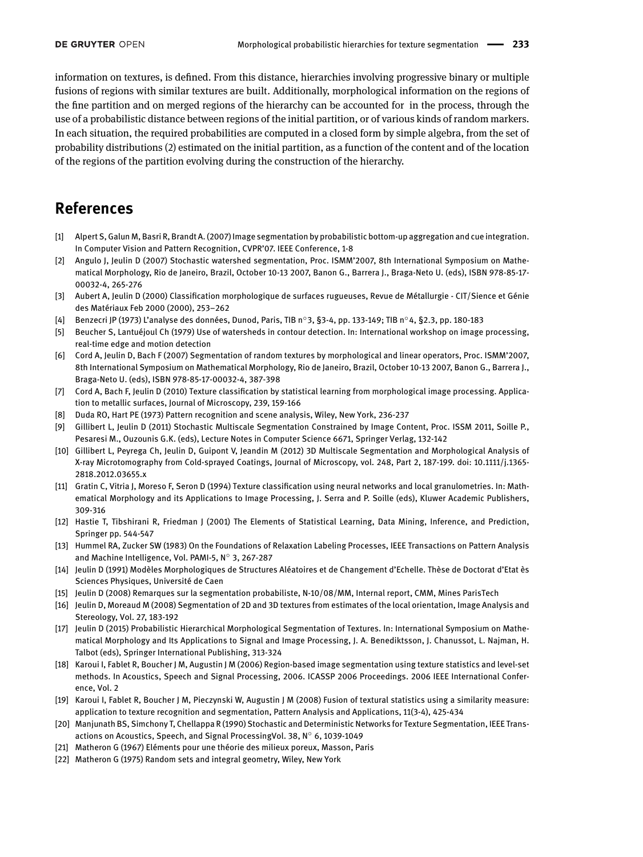information on textures, is defined. From this distance, hierarchies involving progressive binary or multiple fusions of regions with similar textures are built. Additionally, morphological information on the regions of the fine partition and on merged regions of the hierarchy can be accounted for in the process, through the use of a probabilistic distance between regions of the initial partition, or of various kinds of random markers. In each situation, the required probabilities are computed in a closed form by simple algebra, from the set of probability distributions [\(2\)](#page-3-2) estimated on the initial partition, as a function of the content and of the location of the regions of the partition evolving during the construction of the hierarchy.

# **References**

- <span id="page-17-5"></span>[1] Alpert S, Galun M, Basri R, Brandt A. (2007) Image segmentation by probabilistic bottom-up aggregation and cue integration. In Computer Vision and Pattern Recognition, CVPR'07. IEEE Conference, 1-8
- <span id="page-17-14"></span>[2] Angulo J, Jeulin D (2007) Stochastic watershed segmentation, Proc. ISMM'2007, 8th International Symposium on Mathematical Morphology, Rio de Janeiro, Brazil, October 10-13 2007, Banon G., Barrera J., Braga-Neto U. (eds), ISBN 978-85-17- 00032-4, 265-276
- <span id="page-17-9"></span>[3] Aubert A, Jeulin D (2000) Classification morphologique de surfaces rugueuses, Revue de Métallurgie - CIT/Sience et Génie des Matériaux Feb 2000 (2000), 253–262
- <span id="page-17-11"></span>[4] Benzecri JP (1973) L'analyse des données, Dunod, Paris, TIB n◦3, §3-4, pp. 133-149; TIB n◦4, §2.3, pp. 180-183
- <span id="page-17-13"></span>[5] Beucher S, Lantuéjoul Ch (1979) Use of watersheds in contour detection. In: International workshop on image processing, real-time edge and motion detection
- <span id="page-17-1"></span>[6] Cord A, Jeulin D, Bach F (2007) Segmentation of random textures by morphological and linear operators, Proc. ISMM'2007, 8th International Symposium on Mathematical Morphology, Rio de Janeiro, Brazil, October 10-13 2007, Banon G., Barrera J., Braga-Neto U. (eds), ISBN 978-85-17-00032-4, 387-398
- <span id="page-17-0"></span>[7] Cord A, Bach F, Jeulin D (2010) Texture classification by statistical learning from morphological image processing. Application to metallic surfaces, Journal of Microscopy, 239, 159-166
- <span id="page-17-18"></span>[8] Duda RO, Hart PE (1973) Pattern recognition and scene analysis, Wiley, New York, 236-237
- <span id="page-17-16"></span>[9] Gillibert L, Jeulin D (2011) Stochastic Multiscale Segmentation Constrained by Image Content, Proc. ISSM 2011, Soille P., Pesaresi M., Ouzounis G.K. (eds), Lecture Notes in Computer Science 6671, Springer Verlag, 132-142
- <span id="page-17-17"></span>[10] Gillibert L, Peyrega Ch, Jeulin D, Guipont V, Jeandin M (2012) 3D Multiscale Segmentation and Morphological Analysis of X-ray Microtomography from Cold-sprayed Coatings, Journal of Microscopy, vol. 248, Part 2, 187-199. doi: 10.1111/j.1365- 2818.2012.03655.x
- <span id="page-17-10"></span>[11] Gratin C, Vitria J, Moreso F, Seron D (1994) Texture classification using neural networks and local granulometries. In: Mathematical Morphology and its Applications to Image Processing, J. Serra and P. Soille (eds), Kluwer Academic Publishers, 309-316
- <span id="page-17-12"></span>[12] Hastie T, Tibshirani R, Friedman J (2001) The Elements of Statistical Learning, Data Mining, Inference, and Prediction, Springer pp. 544-547
- <span id="page-17-3"></span>[13] Hummel RA, Zucker SW (1983) On the Foundations of Relaxation Labeling Processes, IEEE Transactions on Pattern Analysis and Machine Intelligence, Vol. PAMI-5, N◦ 3, 267-287
- <span id="page-17-20"></span>[14] Jeulin D (1991) Modèles Morphologiques de Structures Aléatoires et de Changement d'Echelle. Thèse de Doctorat d'Etat ès Sciences Physiques, Université de Caen
- <span id="page-17-15"></span>[15] Jeulin D (2008) Remarques sur la segmentation probabiliste, N-10/08/MM, Internal report, CMM, Mines ParisTech
- <span id="page-17-19"></span>[16] Jeulin D, Moreaud M (2008) Segmentation of 2D and 3D textures from estimates of the local orientation, Image Analysis and Stereology, Vol. 27, 183-192
- <span id="page-17-2"></span>[17] Jeulin D (2015) Probabilistic Hierarchical Morphological Segmentation of Textures. In: International Symposium on Mathematical Morphology and Its Applications to Signal and Image Processing, J. A. Benediktsson, J. Chanussot, L. Najman, H. Talbot (eds), Springer International Publishing, 313-324
- <span id="page-17-7"></span>[18] Karoui I, Fablet R, Boucher J M, Augustin J M (2006) Region-based image segmentation using texture statistics and level-set methods. In Acoustics, Speech and Signal Processing, 2006. ICASSP 2006 Proceedings. 2006 IEEE International Conference, Vol. 2
- <span id="page-17-6"></span>[19] Karoui I, Fablet R, Boucher J M, Pieczynski W, Augustin J M (2008) Fusion of textural statistics using a similarity measure: application to texture recognition and segmentation, Pattern Analysis and Applications, 11(3-4), 425-434
- <span id="page-17-4"></span>[20] Manjunath BS, Simchony T, Chellappa R (1990) Stochastic and Deterministic Networks for Texture Segmentation, IEEE Transactions on Acoustics, Speech, and Signal ProcessingVol. 38, N◦ 6, 1039-1049
- <span id="page-17-8"></span>[21] Matheron G (1967) Eléments pour une théorie des milieux poreux, Masson, Paris
- <span id="page-17-21"></span>[22] Matheron G (1975) Random sets and integral geometry, Wiley, New York